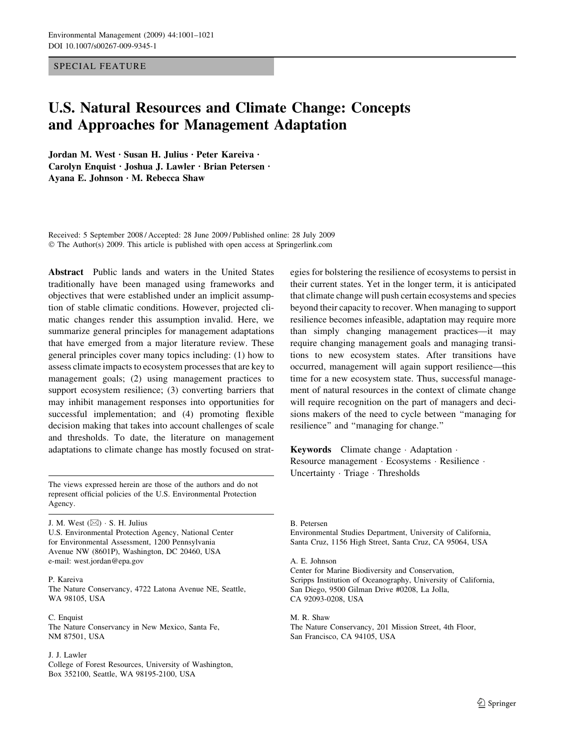SPECIAL FEATURE

# U.S. Natural Resources and Climate Change: Concepts and Approaches for Management Adaptation

Jordan M. West · Susan H. Julius · Peter Kareiva · Carolyn Enquist · Joshua J. Lawler · Brian Petersen · Ayana E. Johnson · M. Rebecca Shaw

Received: 5 September 2008 / Accepted: 28 June 2009 / Published online: 28 July 2009  $\odot$  The Author(s) 2009. This article is published with open access at Springerlink.com

Abstract Public lands and waters in the United States traditionally have been managed using frameworks and objectives that were established under an implicit assumption of stable climatic conditions. However, projected climatic changes render this assumption invalid. Here, we summarize general principles for management adaptations that have emerged from a major literature review. These general principles cover many topics including: (1) how to assess climate impacts to ecosystem processes that are key to management goals; (2) using management practices to support ecosystem resilience; (3) converting barriers that may inhibit management responses into opportunities for successful implementation; and (4) promoting flexible decision making that takes into account challenges of scale and thresholds. To date, the literature on management adaptations to climate change has mostly focused on strat-

The views expressed herein are those of the authors and do not represent official policies of the U.S. Environmental Protection Agency.

J. M. West  $(\boxtimes) \cdot$  S. H. Julius U.S. Environmental Protection Agency, National Center for Environmental Assessment, 1200 Pennsylvania Avenue NW (8601P), Washington, DC 20460, USA e-mail: west.jordan@epa.gov

P. Kareiva

The Nature Conservancy, 4722 Latona Avenue NE, Seattle, WA 98105, USA

C. Enquist The Nature Conservancy in New Mexico, Santa Fe, NM 87501, USA

### J. J. Lawler

College of Forest Resources, University of Washington, Box 352100, Seattle, WA 98195-2100, USA

egies for bolstering the resilience of ecosystems to persist in their current states. Yet in the longer term, it is anticipated that climate change will push certain ecosystems and species beyond their capacity to recover. When managing to support resilience becomes infeasible, adaptation may require more than simply changing management practices—it may require changing management goals and managing transitions to new ecosystem states. After transitions have occurred, management will again support resilience—this time for a new ecosystem state. Thus, successful management of natural resources in the context of climate change will require recognition on the part of managers and decisions makers of the need to cycle between ''managing for resilience'' and ''managing for change.''

Keywords Climate change · Adaptation · Resource management · Ecosystems · Resilience · Uncertainty · Triage · Thresholds

B. Petersen Environmental Studies Department, University of California, Santa Cruz, 1156 High Street, Santa Cruz, CA 95064, USA

A. E. Johnson Center for Marine Biodiversity and Conservation, Scripps Institution of Oceanography, University of California, San Diego, 9500 Gilman Drive #0208, La Jolla, CA 92093-0208, USA

M. R. Shaw The Nature Conservancy, 201 Mission Street, 4th Floor, San Francisco, CA 94105, USA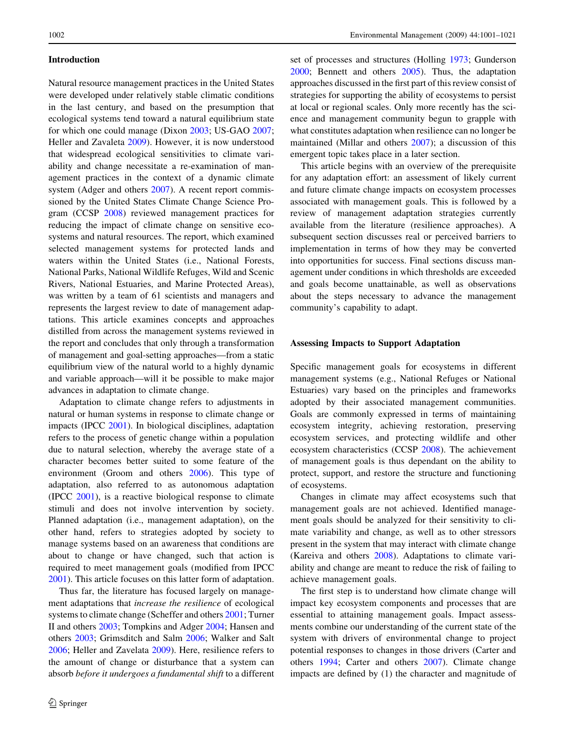# Introduction

Natural resource management practices in the United States were developed under relatively stable climatic conditions in the last century, and based on the presumption that ecological systems tend toward a natural equilibrium state for which one could manage (Dixon [2003](#page-18-0); US-GAO [2007](#page-20-0); Heller and Zavaleta [2009\)](#page-18-0). However, it is now understood that widespread ecological sensitivities to climate variability and change necessitate a re-examination of management practices in the context of a dynamic climate system (Adger and others [2007](#page-17-0)). A recent report commissioned by the United States Climate Change Science Program (CCSP [2008\)](#page-18-0) reviewed management practices for reducing the impact of climate change on sensitive ecosystems and natural resources. The report, which examined selected management systems for protected lands and waters within the United States (i.e., National Forests, National Parks, National Wildlife Refuges, Wild and Scenic Rivers, National Estuaries, and Marine Protected Areas), was written by a team of 61 scientists and managers and represents the largest review to date of management adaptations. This article examines concepts and approaches distilled from across the management systems reviewed in the report and concludes that only through a transformation of management and goal-setting approaches—from a static equilibrium view of the natural world to a highly dynamic and variable approach—will it be possible to make major advances in adaptation to climate change.

Adaptation to climate change refers to adjustments in natural or human systems in response to climate change or impacts (IPCC [2001](#page-18-0)). In biological disciplines, adaptation refers to the process of genetic change within a population due to natural selection, whereby the average state of a character becomes better suited to some feature of the environment (Groom and others [2006](#page-18-0)). This type of adaptation, also referred to as autonomous adaptation (IPCC [2001](#page-18-0)), is a reactive biological response to climate stimuli and does not involve intervention by society. Planned adaptation (i.e., management adaptation), on the other hand, refers to strategies adopted by society to manage systems based on an awareness that conditions are about to change or have changed, such that action is required to meet management goals (modified from IPCC [2001\)](#page-18-0). This article focuses on this latter form of adaptation.

Thus far, the literature has focused largely on management adaptations that increase the resilience of ecological systems to climate change (Scheffer and others [2001](#page-19-0); Turner II and others [2003](#page-20-0); Tompkins and Adger [2004;](#page-20-0) Hansen and others [2003;](#page-18-0) Grimsditch and Salm [2006](#page-18-0); Walker and Salt [2006;](#page-20-0) Heller and Zavelata [2009](#page-18-0)). Here, resilience refers to the amount of change or disturbance that a system can absorb before it undergoes a fundamental shift to a different set of processes and structures (Holling [1973;](#page-18-0) Gunderson [2000](#page-18-0); Bennett and others [2005\)](#page-17-0). Thus, the adaptation approaches discussed in the first part of this review consist of strategies for supporting the ability of ecosystems to persist at local or regional scales. Only more recently has the science and management community begun to grapple with what constitutes adaptation when resilience can no longer be maintained (Millar and others [2007\)](#page-19-0); a discussion of this emergent topic takes place in a later section.

This article begins with an overview of the prerequisite for any adaptation effort: an assessment of likely current and future climate change impacts on ecosystem processes associated with management goals. This is followed by a review of management adaptation strategies currently available from the literature (resilience approaches). A subsequent section discusses real or perceived barriers to implementation in terms of how they may be converted into opportunities for success. Final sections discuss management under conditions in which thresholds are exceeded and goals become unattainable, as well as observations about the steps necessary to advance the management community's capability to adapt.

# Assessing Impacts to Support Adaptation

Specific management goals for ecosystems in different management systems (e.g., National Refuges or National Estuaries) vary based on the principles and frameworks adopted by their associated management communities. Goals are commonly expressed in terms of maintaining ecosystem integrity, achieving restoration, preserving ecosystem services, and protecting wildlife and other ecosystem characteristics (CCSP [2008](#page-18-0)). The achievement of management goals is thus dependant on the ability to protect, support, and restore the structure and functioning of ecosystems.

Changes in climate may affect ecosystems such that management goals are not achieved. Identified management goals should be analyzed for their sensitivity to climate variability and change, as well as to other stressors present in the system that may interact with climate change (Kareiva and others [2008](#page-19-0)). Adaptations to climate variability and change are meant to reduce the risk of failing to achieve management goals.

The first step is to understand how climate change will impact key ecosystem components and processes that are essential to attaining management goals. Impact assessments combine our understanding of the current state of the system with drivers of environmental change to project potential responses to changes in those drivers (Carter and others [1994](#page-18-0); Carter and others [2007\)](#page-18-0). Climate change impacts are defined by (1) the character and magnitude of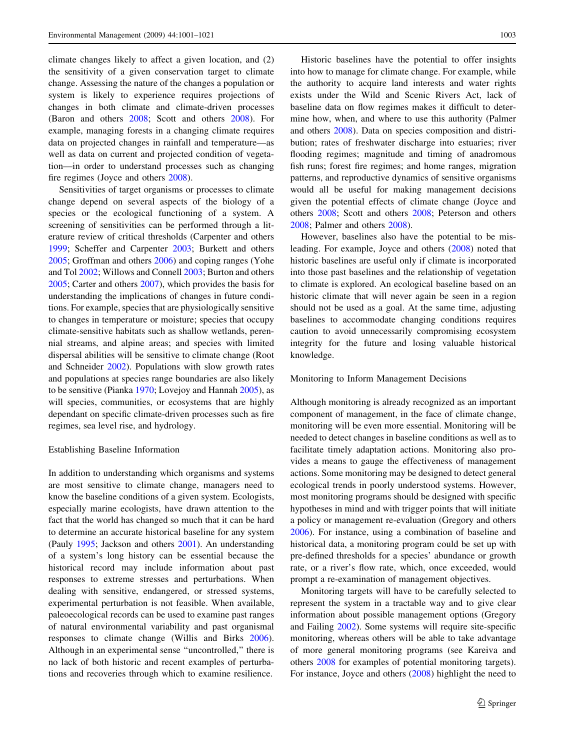climate changes likely to affect a given location, and (2) the sensitivity of a given conservation target to climate change. Assessing the nature of the changes a population or system is likely to experience requires projections of changes in both climate and climate-driven processes (Baron and others [2008](#page-17-0); Scott and others [2008](#page-19-0)). For example, managing forests in a changing climate requires data on projected changes in rainfall and temperature––as well as data on current and projected condition of vegetation––in order to understand processes such as changing fire regimes (Joyce and others [2008\)](#page-19-0).

Sensitivities of target organisms or processes to climate change depend on several aspects of the biology of a species or the ecological functioning of a system. A screening of sensitivities can be performed through a literature review of critical thresholds (Carpenter and others [1999;](#page-18-0) Scheffer and Carpenter [2003](#page-19-0); Burkett and others [2005;](#page-18-0) Groffman and others [2006\)](#page-18-0) and coping ranges (Yohe and Tol [2002](#page-20-0); Willows and Connell [2003;](#page-20-0) Burton and others [2005;](#page-18-0) Carter and others [2007\)](#page-18-0), which provides the basis for understanding the implications of changes in future conditions. For example, species that are physiologically sensitive to changes in temperature or moisture; species that occupy climate-sensitive habitats such as shallow wetlands, perennial streams, and alpine areas; and species with limited dispersal abilities will be sensitive to climate change (Root and Schneider [2002](#page-19-0)). Populations with slow growth rates and populations at species range boundaries are also likely to be sensitive (Pianka [1970](#page-19-0); Lovejoy and Hannah [2005\)](#page-19-0), as will species, communities, or ecosystems that are highly dependant on specific climate-driven processes such as fire regimes, sea level rise, and hydrology.

## Establishing Baseline Information

In addition to understanding which organisms and systems are most sensitive to climate change, managers need to know the baseline conditions of a given system. Ecologists, especially marine ecologists, have drawn attention to the fact that the world has changed so much that it can be hard to determine an accurate historical baseline for any system (Pauly [1995;](#page-19-0) Jackson and others [2001\)](#page-18-0). An understanding of a system's long history can be essential because the historical record may include information about past responses to extreme stresses and perturbations. When dealing with sensitive, endangered, or stressed systems, experimental perturbation is not feasible. When available, paleoecological records can be used to examine past ranges of natural environmental variability and past organismal responses to climate change (Willis and Birks [2006](#page-20-0)). Although in an experimental sense ''uncontrolled,'' there is no lack of both historic and recent examples of perturbations and recoveries through which to examine resilience.

Historic baselines have the potential to offer insights into how to manage for climate change. For example, while the authority to acquire land interests and water rights exists under the Wild and Scenic Rivers Act, lack of baseline data on flow regimes makes it difficult to determine how, when, and where to use this authority (Palmer and others [2008\)](#page-19-0). Data on species composition and distribution; rates of freshwater discharge into estuaries; river flooding regimes; magnitude and timing of anadromous fish runs; forest fire regimes; and home ranges, migration patterns, and reproductive dynamics of sensitive organisms would all be useful for making management decisions given the potential effects of climate change (Joyce and others [2008;](#page-19-0) Scott and others [2008;](#page-19-0) Peterson and others [2008](#page-19-0); Palmer and others [2008](#page-19-0)).

However, baselines also have the potential to be misleading. For example, Joyce and others [\(2008](#page-19-0)) noted that historic baselines are useful only if climate is incorporated into those past baselines and the relationship of vegetation to climate is explored. An ecological baseline based on an historic climate that will never again be seen in a region should not be used as a goal. At the same time, adjusting baselines to accommodate changing conditions requires caution to avoid unnecessarily compromising ecosystem integrity for the future and losing valuable historical knowledge.

## Monitoring to Inform Management Decisions

Although monitoring is already recognized as an important component of management, in the face of climate change, monitoring will be even more essential. Monitoring will be needed to detect changes in baseline conditions as well as to facilitate timely adaptation actions. Monitoring also provides a means to gauge the effectiveness of management actions. Some monitoring may be designed to detect general ecological trends in poorly understood systems. However, most monitoring programs should be designed with specific hypotheses in mind and with trigger points that will initiate a policy or management re-evaluation (Gregory and others [2006](#page-18-0)). For instance, using a combination of baseline and historical data, a monitoring program could be set up with pre-defined thresholds for a species' abundance or growth rate, or a river's flow rate, which, once exceeded, would prompt a re-examination of management objectives.

Monitoring targets will have to be carefully selected to represent the system in a tractable way and to give clear information about possible management options (Gregory and Failing [2002\)](#page-18-0). Some systems will require site-specific monitoring, whereas others will be able to take advantage of more general monitoring programs (see Kareiva and others [2008](#page-19-0) for examples of potential monitoring targets). For instance, Joyce and others [\(2008](#page-19-0)) highlight the need to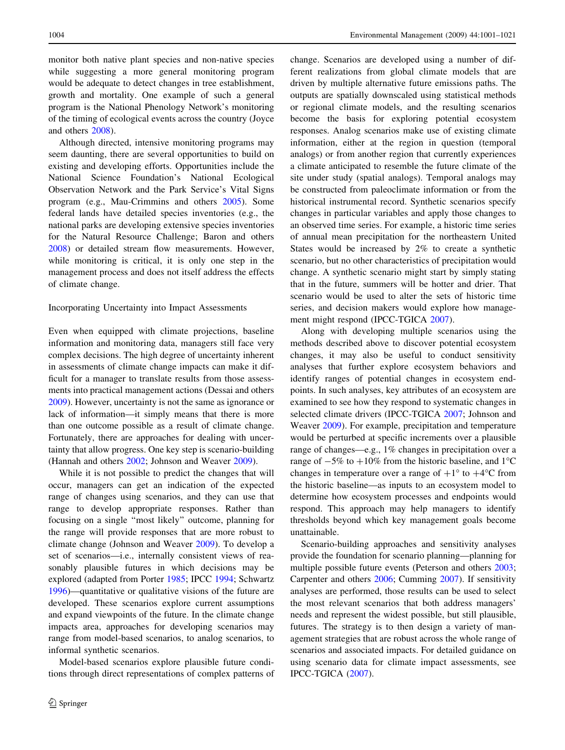monitor both native plant species and non-native species while suggesting a more general monitoring program would be adequate to detect changes in tree establishment, growth and mortality. One example of such a general program is the National Phenology Network's monitoring of the timing of ecological events across the country (Joyce and others [2008\)](#page-19-0).

Although directed, intensive monitoring programs may seem daunting, there are several opportunities to build on existing and developing efforts. Opportunities include the National Science Foundation's National Ecological Observation Network and the Park Service's Vital Signs program (e.g., Mau-Crimmins and others [2005\)](#page-19-0). Some federal lands have detailed species inventories (e.g., the national parks are developing extensive species inventories for the Natural Resource Challenge; Baron and others [2008\)](#page-17-0) or detailed stream flow measurements. However, while monitoring is critical, it is only one step in the management process and does not itself address the effects of climate change.

# Incorporating Uncertainty into Impact Assessments

Even when equipped with climate projections, baseline information and monitoring data, managers still face very complex decisions. The high degree of uncertainty inherent in assessments of climate change impacts can make it difficult for a manager to translate results from those assessments into practical management actions (Dessai and others [2009\)](#page-18-0). However, uncertainty is not the same as ignorance or lack of information—it simply means that there is more than one outcome possible as a result of climate change. Fortunately, there are approaches for dealing with uncertainty that allow progress. One key step is scenario-building (Hannah and others [2002](#page-18-0); Johnson and Weaver [2009](#page-19-0)).

While it is not possible to predict the changes that will occur, managers can get an indication of the expected range of changes using scenarios, and they can use that range to develop appropriate responses. Rather than focusing on a single ''most likely'' outcome, planning for the range will provide responses that are more robust to climate change (Johnson and Weaver [2009](#page-19-0)). To develop a set of scenarios—i.e., internally consistent views of reasonably plausible futures in which decisions may be explored (adapted from Porter [1985;](#page-19-0) IPCC [1994](#page-18-0); Schwartz [1996\)](#page-19-0)—quantitative or qualitative visions of the future are developed. These scenarios explore current assumptions and expand viewpoints of the future. In the climate change impacts area, approaches for developing scenarios may range from model-based scenarios, to analog scenarios, to informal synthetic scenarios.

Model-based scenarios explore plausible future conditions through direct representations of complex patterns of change. Scenarios are developed using a number of different realizations from global climate models that are driven by multiple alternative future emissions paths. The outputs are spatially downscaled using statistical methods or regional climate models, and the resulting scenarios become the basis for exploring potential ecosystem responses. Analog scenarios make use of existing climate information, either at the region in question (temporal analogs) or from another region that currently experiences a climate anticipated to resemble the future climate of the site under study (spatial analogs). Temporal analogs may be constructed from paleoclimate information or from the historical instrumental record. Synthetic scenarios specify changes in particular variables and apply those changes to an observed time series. For example, a historic time series of annual mean precipitation for the northeastern United States would be increased by 2% to create a synthetic scenario, but no other characteristics of precipitation would change. A synthetic scenario might start by simply stating that in the future, summers will be hotter and drier. That scenario would be used to alter the sets of historic time series, and decision makers would explore how management might respond (IPCC-TGICA [2007\)](#page-18-0).

Along with developing multiple scenarios using the methods described above to discover potential ecosystem changes, it may also be useful to conduct sensitivity analyses that further explore ecosystem behaviors and identify ranges of potential changes in ecosystem endpoints. In such analyses, key attributes of an ecosystem are examined to see how they respond to systematic changes in selected climate drivers (IPCC-TGICA [2007;](#page-18-0) Johnson and Weaver [2009](#page-19-0)). For example, precipitation and temperature would be perturbed at specific increments over a plausible range of changes—e.g., 1% changes in precipitation over a range of  $-5\%$  to  $+10\%$  from the historic baseline, and  $1^{\circ}$ C changes in temperature over a range of  $+1^{\circ}$  to  $+4^{\circ}C$  from the historic baseline—as inputs to an ecosystem model to determine how ecosystem processes and endpoints would respond. This approach may help managers to identify thresholds beyond which key management goals become unattainable.

Scenario-building approaches and sensitivity analyses provide the foundation for scenario planning—planning for multiple possible future events (Peterson and others [2003](#page-19-0); Carpenter and others [2006](#page-18-0); Cumming [2007\)](#page-18-0). If sensitivity analyses are performed, those results can be used to select the most relevant scenarios that both address managers' needs and represent the widest possible, but still plausible, futures. The strategy is to then design a variety of management strategies that are robust across the whole range of scenarios and associated impacts. For detailed guidance on using scenario data for climate impact assessments, see IPCC-TGICA ([2007\)](#page-18-0).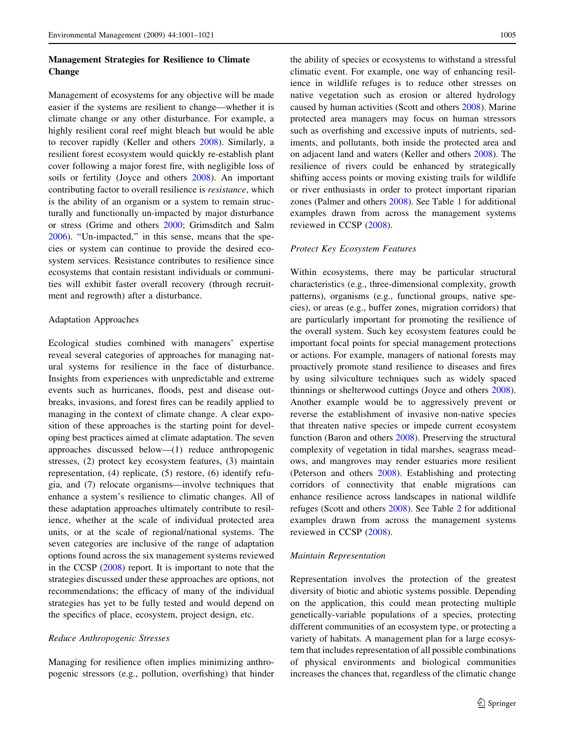# Management Strategies for Resilience to Climate **Change**

Management of ecosystems for any objective will be made easier if the systems are resilient to change—whether it is climate change or any other disturbance. For example, a highly resilient coral reef might bleach but would be able to recover rapidly (Keller and others [2008](#page-19-0)). Similarly, a resilient forest ecosystem would quickly re-establish plant cover following a major forest fire, with negligible loss of soils or fertility (Joyce and others [2008](#page-19-0)). An important contributing factor to overall resilience is resistance, which is the ability of an organism or a system to remain structurally and functionally un-impacted by major disturbance or stress (Grime and others [2000](#page-18-0); Grimsditch and Salm [2006\)](#page-18-0). ''Un-impacted,'' in this sense, means that the species or system can continue to provide the desired ecosystem services. Resistance contributes to resilience since ecosystems that contain resistant individuals or communities will exhibit faster overall recovery (through recruitment and regrowth) after a disturbance.

# Adaptation Approaches

Ecological studies combined with managers' expertise reveal several categories of approaches for managing natural systems for resilience in the face of disturbance. Insights from experiences with unpredictable and extreme events such as hurricanes, floods, pest and disease outbreaks, invasions, and forest fires can be readily applied to managing in the context of climate change. A clear exposition of these approaches is the starting point for developing best practices aimed at climate adaptation. The seven approaches discussed below—(1) reduce anthropogenic stresses, (2) protect key ecosystem features, (3) maintain representation, (4) replicate, (5) restore, (6) identify refugia, and (7) relocate organisms—involve techniques that enhance a system's resilience to climatic changes. All of these adaptation approaches ultimately contribute to resilience, whether at the scale of individual protected area units, or at the scale of regional/national systems. The seven categories are inclusive of the range of adaptation options found across the six management systems reviewed in the CCSP ([2008\)](#page-18-0) report. It is important to note that the strategies discussed under these approaches are options, not recommendations; the efficacy of many of the individual strategies has yet to be fully tested and would depend on the specifics of place, ecosystem, project design, etc.

### Reduce Anthropogenic Stresses

Managing for resilience often implies minimizing anthropogenic stressors (e.g., pollution, overfishing) that hinder

the ability of species or ecosystems to withstand a stressful climatic event. For example, one way of enhancing resilience in wildlife refuges is to reduce other stresses on native vegetation such as erosion or altered hydrology caused by human activities (Scott and others [2008](#page-19-0)). Marine protected area managers may focus on human stressors such as overfishing and excessive inputs of nutrients, sediments, and pollutants, both inside the protected area and on adjacent land and waters (Keller and others [2008\)](#page-19-0). The resilience of rivers could be enhanced by strategically shifting access points or moving existing trails for wildlife or river enthusiasts in order to protect important riparian zones (Palmer and others [2008](#page-19-0)). See Table [1](#page-5-0) for additional examples drawn from across the management systems reviewed in CCSP [\(2008](#page-18-0)).

### Protect Key Ecosystem Features

Within ecosystems, there may be particular structural characteristics (e.g., three-dimensional complexity, growth patterns), organisms (e.g., functional groups, native species), or areas (e.g., buffer zones, migration corridors) that are particularly important for promoting the resilience of the overall system. Such key ecosystem features could be important focal points for special management protections or actions. For example, managers of national forests may proactively promote stand resilience to diseases and fires by using silviculture techniques such as widely spaced thinnings or shelterwood cuttings (Joyce and others [2008](#page-19-0)). Another example would be to aggressively prevent or reverse the establishment of invasive non-native species that threaten native species or impede current ecosystem function (Baron and others [2008](#page-17-0)). Preserving the structural complexity of vegetation in tidal marshes, seagrass meadows, and mangroves may render estuaries more resilient (Peterson and others [2008](#page-19-0)). Establishing and protecting corridors of connectivity that enable migrations can enhance resilience across landscapes in national wildlife refuges (Scott and others [2008\)](#page-19-0). See Table [2](#page-6-0) for additional examples drawn from across the management systems reviewed in CCSP [\(2008](#page-18-0)).

### Maintain Representation

Representation involves the protection of the greatest diversity of biotic and abiotic systems possible. Depending on the application, this could mean protecting multiple genetically-variable populations of a species, protecting different communities of an ecosystem type, or protecting a variety of habitats. A management plan for a large ecosystem that includes representation of all possible combinations of physical environments and biological communities increases the chances that, regardless of the climatic change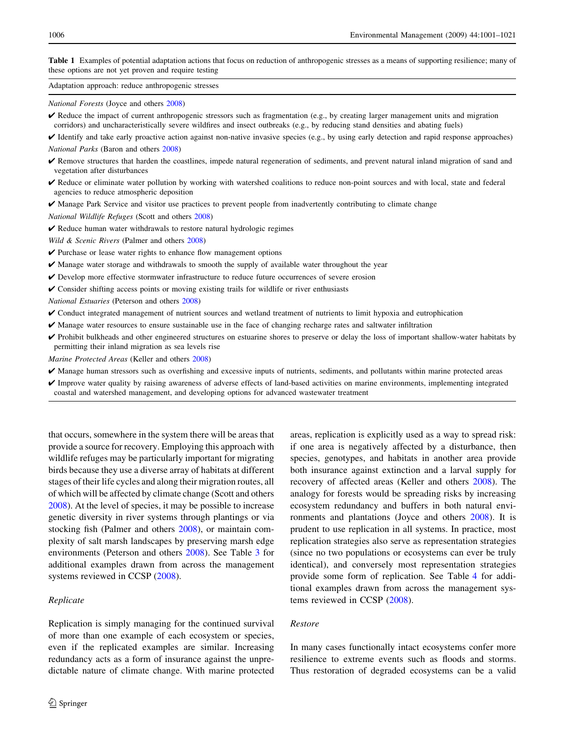<span id="page-5-0"></span>Table 1 Examples of potential adaptation actions that focus on reduction of anthropogenic stresses as a means of supporting resilience; many of these options are not yet proven and require testing

Adaptation approach: reduce anthropogenic stresses

National Forests (Joyce and others [2008](#page-19-0))

 $\vee$  Reduce the impact of current anthropogenic stressors such as fragmentation (e.g., by creating larger management units and migration corridors) and uncharacteristically severe wildfires and insect outbreaks (e.g., by reducing stand densities and abating fuels)

 $\checkmark$  Identify and take early proactive action against non-native invasive species (e.g., by using early detection and rapid response approaches) National Parks (Baron and others [2008](#page-17-0))

- 4 Remove structures that harden the coastlines, impede natural regeneration of sediments, and prevent natural inland migration of sand and vegetation after disturbances
- 4 Reduce or eliminate water pollution by working with watershed coalitions to reduce non-point sources and with local, state and federal agencies to reduce atmospheric deposition

4 Manage Park Service and visitor use practices to prevent people from inadvertently contributing to climate change

National Wildlife Refuges (Scott and others [2008\)](#page-19-0)

 $\checkmark$  Reduce human water withdrawals to restore natural hydrologic regimes

Wild & Scenic Rivers (Palmer and others [2008](#page-19-0))

- $\checkmark$  Purchase or lease water rights to enhance flow management options
- 4 Manage water storage and withdrawals to smooth the supply of available water throughout the year
- 4 Develop more effective stormwater infrastructure to reduce future occurrences of severe erosion
- $\checkmark$  Consider shifting access points or moving existing trails for wildlife or river enthusiasts

National Estuaries (Peterson and others [2008\)](#page-19-0)

- 4 Conduct integrated management of nutrient sources and wetland treatment of nutrients to limit hypoxia and eutrophication
- 4 Manage water resources to ensure sustainable use in the face of changing recharge rates and saltwater infiltration
- 4 Prohibit bulkheads and other engineered structures on estuarine shores to preserve or delay the loss of important shallow-water habitats by permitting their inland migration as sea levels rise

Marine Protected Areas (Keller and others [2008\)](#page-19-0)

- 4 Manage human stressors such as overfishing and excessive inputs of nutrients, sediments, and pollutants within marine protected areas
- 4 Improve water quality by raising awareness of adverse effects of land-based activities on marine environments, implementing integrated coastal and watershed management, and developing options for advanced wastewater treatment

that occurs, somewhere in the system there will be areas that provide a source for recovery. Employing this approach with wildlife refuges may be particularly important for migrating birds because they use a diverse array of habitats at different stages of their life cycles and along their migration routes, all of which will be affected by climate change (Scott and others [2008\)](#page-19-0). At the level of species, it may be possible to increase genetic diversity in river systems through plantings or via stocking fish (Palmer and others [2008](#page-19-0)), or maintain complexity of salt marsh landscapes by preserving marsh edge environments (Peterson and others [2008\)](#page-19-0). See Table [3](#page-7-0) for additional examples drawn from across the management systems reviewed in CCSP ([2008](#page-18-0)).

# Replicate

Replication is simply managing for the continued survival of more than one example of each ecosystem or species, even if the replicated examples are similar. Increasing redundancy acts as a form of insurance against the unpredictable nature of climate change. With marine protected areas, replication is explicitly used as a way to spread risk: if one area is negatively affected by a disturbance, then species, genotypes, and habitats in another area provide both insurance against extinction and a larval supply for recovery of affected areas (Keller and others [2008\)](#page-19-0). The analogy for forests would be spreading risks by increasing ecosystem redundancy and buffers in both natural environments and plantations (Joyce and others [2008\)](#page-19-0). It is prudent to use replication in all systems. In practice, most replication strategies also serve as representation strategies (since no two populations or ecosystems can ever be truly identical), and conversely most representation strategies provide some form of replication. See Table [4](#page-7-0) for additional examples drawn from across the management systems reviewed in CCSP ([2008](#page-18-0)).

# Restore

In many cases functionally intact ecosystems confer more resilience to extreme events such as floods and storms. Thus restoration of degraded ecosystems can be a valid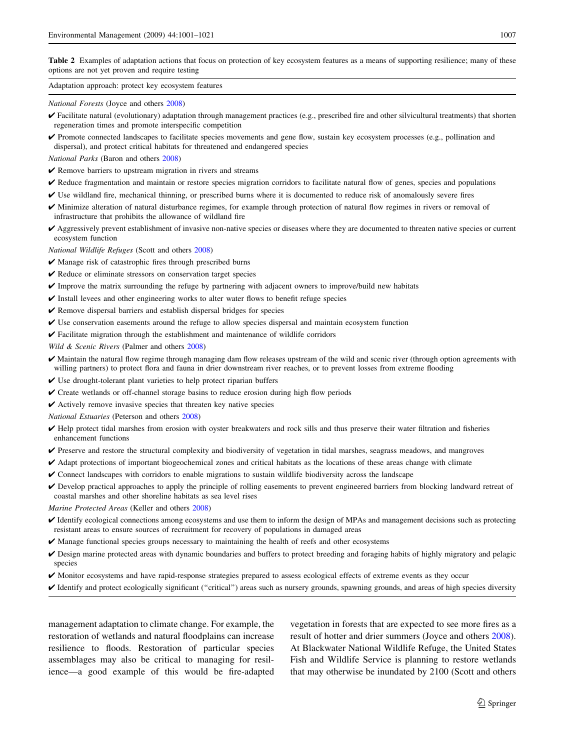<span id="page-6-0"></span>Table 2 Examples of adaptation actions that focus on protection of key ecosystem features as a means of supporting resilience; many of these options are not yet proven and require testing

Adaptation approach: protect key ecosystem features

National Forests (Joyce and others [2008](#page-19-0))

- $\checkmark$  Facilitate natural (evolutionary) adaptation through management practices (e.g., prescribed fire and other silvicultural treatments) that shorten regeneration times and promote interspecific competition
- $\vee$  Promote connected landscapes to facilitate species movements and gene flow, sustain key ecosystem processes (e.g., pollination and dispersal), and protect critical habitats for threatened and endangered species

National Parks (Baron and others [2008](#page-17-0))

- $\checkmark$  Remove barriers to upstream migration in rivers and streams
- 4 Reduce fragmentation and maintain or restore species migration corridors to facilitate natural flow of genes, species and populations
- $\vee$  Use wildland fire, mechanical thinning, or prescribed burns where it is documented to reduce risk of anomalously severe fires
- 4 Minimize alteration of natural disturbance regimes, for example through protection of natural flow regimes in rivers or removal of infrastructure that prohibits the allowance of wildland fire
- 4 Aggressively prevent establishment of invasive non-native species or diseases where they are documented to threaten native species or current ecosystem function

National Wildlife Refuges (Scott and others [2008\)](#page-19-0)

- $\checkmark$  Manage risk of catastrophic fires through prescribed burns
- $\checkmark$  Reduce or eliminate stressors on conservation target species
- $\checkmark$  Improve the matrix surrounding the refuge by partnering with adjacent owners to improve/build new habitats
- $\checkmark$  Install levees and other engineering works to alter water flows to benefit refuge species
- $\checkmark$  Remove dispersal barriers and establish dispersal bridges for species
- $\checkmark$  Use conservation easements around the refuge to allow species dispersal and maintain ecosystem function
- $\checkmark$  Facilitate migration through the establishment and maintenance of wildlife corridors
- Wild & Scenic Rivers (Palmer and others [2008](#page-19-0))
- 4 Maintain the natural flow regime through managing dam flow releases upstream of the wild and scenic river (through option agreements with willing partners) to protect flora and fauna in drier downstream river reaches, or to prevent losses from extreme flooding
- $\checkmark$  Use drought-tolerant plant varieties to help protect riparian buffers
- $\checkmark$  Create wetlands or off-channel storage basins to reduce erosion during high flow periods
- $\checkmark$  Actively remove invasive species that threaten key native species

National Estuaries (Peterson and others [2008\)](#page-19-0)

- 4 Help protect tidal marshes from erosion with oyster breakwaters and rock sills and thus preserve their water filtration and fisheries enhancement functions
- 4 Preserve and restore the structural complexity and biodiversity of vegetation in tidal marshes, seagrass meadows, and mangroves
- $\blacktriangleright$  Adapt protections of important biogeochemical zones and critical habitats as the locations of these areas change with climate
- 4 Connect landscapes with corridors to enable migrations to sustain wildlife biodiversity across the landscape
- 4 Develop practical approaches to apply the principle of rolling easements to prevent engineered barriers from blocking landward retreat of coastal marshes and other shoreline habitats as sea level rises

Marine Protected Areas (Keller and others [2008\)](#page-19-0)

- $\checkmark$  Identify ecological connections among ecosystems and use them to inform the design of MPAs and management decisions such as protecting resistant areas to ensure sources of recruitment for recovery of populations in damaged areas
- $\blacktriangleright$  Manage functional species groups necessary to maintaining the health of reefs and other ecosystems
- 4 Design marine protected areas with dynamic boundaries and buffers to protect breeding and foraging habits of highly migratory and pelagic species
- $\triangledown$  Monitor ecosystems and have rapid-response strategies prepared to assess ecological effects of extreme events as they occur
- 4 Identify and protect ecologically significant (''critical'') areas such as nursery grounds, spawning grounds, and areas of high species diversity

management adaptation to climate change. For example, the restoration of wetlands and natural floodplains can increase resilience to floods. Restoration of particular species assemblages may also be critical to managing for resilience—a good example of this would be fire-adapted vegetation in forests that are expected to see more fires as a result of hotter and drier summers (Joyce and others [2008](#page-19-0)). At Blackwater National Wildlife Refuge, the United States Fish and Wildlife Service is planning to restore wetlands that may otherwise be inundated by 2100 (Scott and others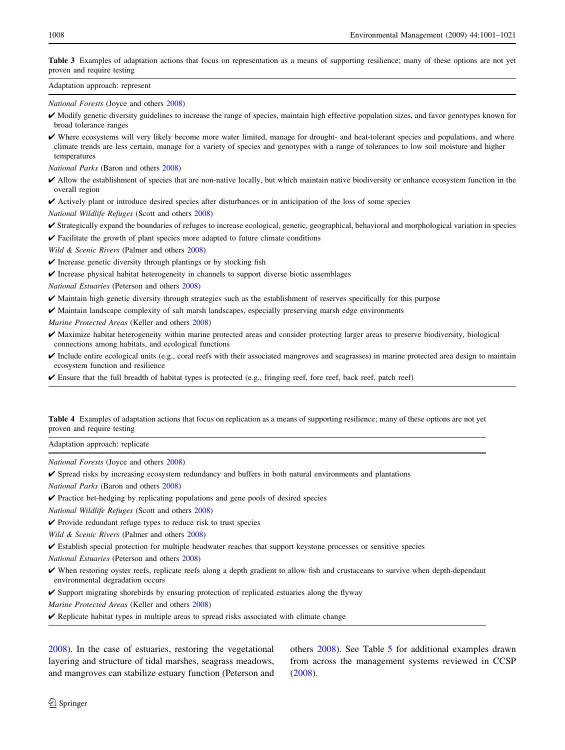<span id="page-7-0"></span>Table 3 Examples of adaptation actions that focus on representation as a means of supporting resilience; many of these options are not yet proven and require testing

#### Adaptation approach: represent

National Forests (Joyce and others [2008](#page-19-0))

- $\blacktriangleright$  Modify genetic diversity guidelines to increase the range of species, maintain high effective population sizes, and favor genotypes known for broad tolerance ranges
- $\blacktriangleright$  Where ecosystems will very likely become more water limited, manage for drought- and heat-tolerant species and populations, and where climate trends are less certain, manage for a variety of species and genotypes with a range of tolerances to low soil moisture and higher temperatures
- National Parks (Baron and others [2008](#page-17-0))
- $\blacktriangleright$  Allow the establishment of species that are non-native locally, but which maintain native biodiversity or enhance ecosystem function in the overall region
- $\blacktriangleright$  Actively plant or introduce desired species after disturbances or in anticipation of the loss of some species
- National Wildlife Refuges (Scott and others [2008\)](#page-19-0)
- 4 Strategically expand the boundaries of refuges to increase ecological, genetic, geographical, behavioral and morphological variation in species
- $\checkmark$  Facilitate the growth of plant species more adapted to future climate conditions
- Wild & Scenic Rivers (Palmer and others [2008](#page-19-0))
- $\checkmark$  Increase genetic diversity through plantings or by stocking fish
- $\checkmark$  Increase physical habitat heterogeneity in channels to support diverse biotic assemblages

National Estuaries (Peterson and others [2008\)](#page-19-0)

- 4 Maintain high genetic diversity through strategies such as the establishment of reserves specifically for this purpose
- 4 Maintain landscape complexity of salt marsh landscapes, especially preserving marsh edge environments

Marine Protected Areas (Keller and others [2008\)](#page-19-0)

- 4 Maximize habitat heterogeneity within marine protected areas and consider protecting larger areas to preserve biodiversity, biological connections among habitats, and ecological functions
- $\blacktriangleright$  Include entire ecological units (e.g., coral reefs with their associated mangroves and seagrasses) in marine protected area design to maintain ecosystem function and resilience
- $\blacktriangleright$  Ensure that the full breadth of habitat types is protected (e.g., fringing reef, fore reef, back reef, patch reef)

Table 4 Examples of adaptation actions that focus on replication as a means of supporting resilience; many of these options are not yet proven and require testing

Adaptation approach: replicate

National Forests (Joyce and others [2008](#page-19-0))

- 4 Spread risks by increasing ecosystem redundancy and buffers in both natural environments and plantations
- National Parks (Baron and others [2008](#page-17-0))

 $\checkmark$  Practice bet-hedging by replicating populations and gene pools of desired species

National Wildlife Refuges (Scott and others [2008\)](#page-19-0)

 $\checkmark$  Provide redundant refuge types to reduce risk to trust species

Wild & Scenic Rivers (Palmer and others [2008](#page-19-0))

4 Establish special protection for multiple headwater reaches that support keystone processes or sensitive species

National Estuaries (Peterson and others [2008\)](#page-19-0)

- 4 When restoring oyster reefs, replicate reefs along a depth gradient to allow fish and crustaceans to survive when depth-dependant environmental degradation occurs
- 4 Support migrating shorebirds by ensuring protection of replicated estuaries along the flyway

Marine Protected Areas (Keller and others [2008\)](#page-19-0)

 $\checkmark$  Replicate habitat types in multiple areas to spread risks associated with climate change

[2008\)](#page-19-0). In the case of estuaries, restoring the vegetational layering and structure of tidal marshes, seagrass meadows, and mangroves can stabilize estuary function (Peterson and others [2008\)](#page-19-0). See Table [5](#page-8-0) for additional examples drawn from across the management systems reviewed in CCSP [\(2008](#page-18-0)).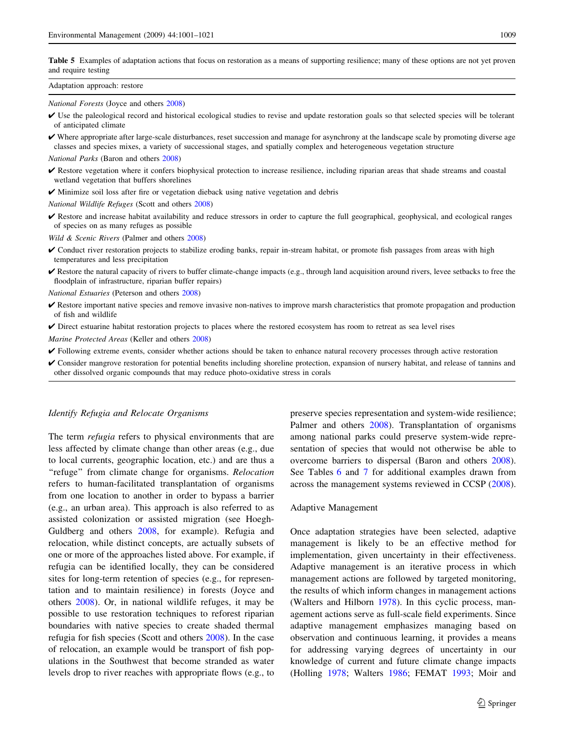<span id="page-8-0"></span>Table 5 Examples of adaptation actions that focus on restoration as a means of supporting resilience; many of these options are not yet proven and require testing

#### Adaptation approach: restore

National Forests (Joyce and others [2008](#page-19-0))

- $\vee$  Use the paleological record and historical ecological studies to revise and update restoration goals so that selected species will be tolerant of anticipated climate
- $\blacktriangleright$  Where appropriate after large-scale disturbances, reset succession and manage for asynchrony at the landscape scale by promoting diverse age classes and species mixes, a variety of successional stages, and spatially complex and heterogeneous vegetation structure

National Parks (Baron and others [2008](#page-17-0))

- 4 Restore vegetation where it confers biophysical protection to increase resilience, including riparian areas that shade streams and coastal wetland vegetation that buffers shorelines
- $\checkmark$  Minimize soil loss after fire or vegetation dieback using native vegetation and debris

National Wildlife Refuges (Scott and others [2008\)](#page-19-0)

4 Restore and increase habitat availability and reduce stressors in order to capture the full geographical, geophysical, and ecological ranges of species on as many refuges as possible

Wild & Scenic Rivers (Palmer and others [2008](#page-19-0))

- $\vee$  Conduct river restoration projects to stabilize eroding banks, repair in-stream habitat, or promote fish passages from areas with high temperatures and less precipitation
- Restore the natural capacity of rivers to buffer climate-change impacts (e.g., through land acquisition around rivers, levee setbacks to free the floodplain of infrastructure, riparian buffer repairs)

National Estuaries (Peterson and others [2008\)](#page-19-0)

- 4 Restore important native species and remove invasive non-natives to improve marsh characteristics that promote propagation and production of fish and wildlife
- 4 Direct estuarine habitat restoration projects to places where the restored ecosystem has room to retreat as sea level rises

Marine Protected Areas (Keller and others [2008\)](#page-19-0)

- 4 Following extreme events, consider whether actions should be taken to enhance natural recovery processes through active restoration
- 4 Consider mangrove restoration for potential benefits including shoreline protection, expansion of nursery habitat, and release of tannins and other dissolved organic compounds that may reduce photo-oxidative stress in corals

# Identify Refugia and Relocate Organisms

The term *refugia* refers to physical environments that are less affected by climate change than other areas (e.g., due to local currents, geographic location, etc.) and are thus a "refuge" from climate change for organisms. Relocation refers to human-facilitated transplantation of organisms from one location to another in order to bypass a barrier (e.g., an urban area). This approach is also referred to as assisted colonization or assisted migration (see Hoegh-Guldberg and others [2008](#page-18-0), for example). Refugia and relocation, while distinct concepts, are actually subsets of one or more of the approaches listed above. For example, if refugia can be identified locally, they can be considered sites for long-term retention of species (e.g., for representation and to maintain resilience) in forests (Joyce and others [2008\)](#page-19-0). Or, in national wildlife refuges, it may be possible to use restoration techniques to reforest riparian boundaries with native species to create shaded thermal refugia for fish species (Scott and others [2008\)](#page-19-0). In the case of relocation, an example would be transport of fish populations in the Southwest that become stranded as water levels drop to river reaches with appropriate flows (e.g., to preserve species representation and system-wide resilience; Palmer and others [2008\)](#page-19-0). Transplantation of organisms among national parks could preserve system-wide representation of species that would not otherwise be able to overcome barriers to dispersal (Baron and others [2008](#page-17-0)). See Tables [6](#page-9-0) and [7](#page-9-0) for additional examples drawn from across the management systems reviewed in CCSP [\(2008](#page-18-0)).

#### Adaptive Management

Once adaptation strategies have been selected, adaptive management is likely to be an effective method for implementation, given uncertainty in their effectiveness. Adaptive management is an iterative process in which management actions are followed by targeted monitoring, the results of which inform changes in management actions (Walters and Hilborn [1978](#page-20-0)). In this cyclic process, management actions serve as full-scale field experiments. Since adaptive management emphasizes managing based on observation and continuous learning, it provides a means for addressing varying degrees of uncertainty in our knowledge of current and future climate change impacts (Holling [1978](#page-18-0); Walters [1986;](#page-20-0) FEMAT [1993;](#page-18-0) Moir and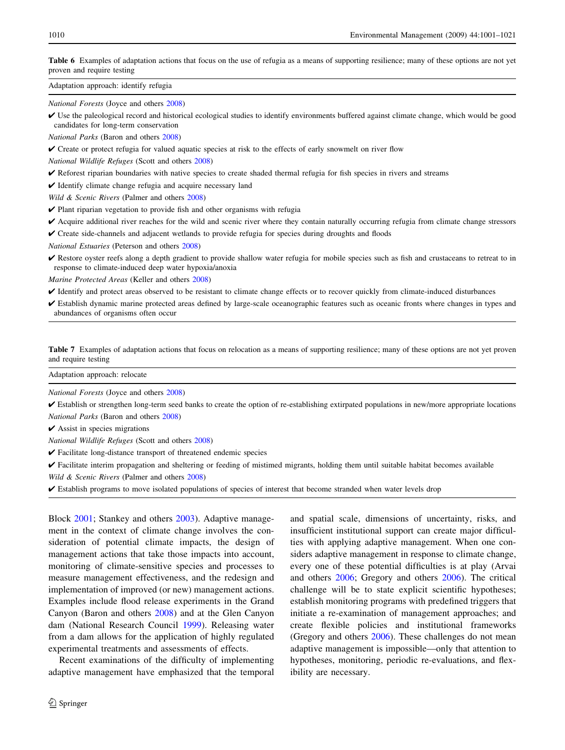<span id="page-9-0"></span>Table 6 Examples of adaptation actions that focus on the use of refugia as a means of supporting resilience; many of these options are not yet proven and require testing

Adaptation approach: identify refugia

National Forests (Joyce and others [2008](#page-19-0))

 $\vee$  Use the paleological record and historical ecological studies to identify environments buffered against climate change, which would be good candidates for long-term conservation

National Parks (Baron and others [2008](#page-17-0))

 $\checkmark$  Create or protect refugia for valued aquatic species at risk to the effects of early snowmelt on river flow

National Wildlife Refuges (Scott and others [2008\)](#page-19-0)

 $\blacktriangleright$  Reforest riparian boundaries with native species to create shaded thermal refugia for fish species in rivers and streams

 $\checkmark$  Identify climate change refugia and acquire necessary land

Wild & Scenic Rivers (Palmer and others [2008](#page-19-0))

- $\vee$  Plant riparian vegetation to provide fish and other organisms with refugia
- 4 Acquire additional river reaches for the wild and scenic river where they contain naturally occurring refugia from climate change stressors

 $\checkmark$  Create side-channels and adjacent wetlands to provide refugia for species during droughts and floods

National Estuaries (Peterson and others [2008\)](#page-19-0)

4 Restore oyster reefs along a depth gradient to provide shallow water refugia for mobile species such as fish and crustaceans to retreat to in response to climate-induced deep water hypoxia/anoxia

Marine Protected Areas (Keller and others [2008\)](#page-19-0)

4 Identify and protect areas observed to be resistant to climate change effects or to recover quickly from climate-induced disturbances

4 Establish dynamic marine protected areas defined by large-scale oceanographic features such as oceanic fronts where changes in types and abundances of organisms often occur

Table 7 Examples of adaptation actions that focus on relocation as a means of supporting resilience; many of these options are not yet proven and require testing

Adaptation approach: relocate

National Forests (Joyce and others [2008](#page-19-0))

 $\overline{\phantom{a}}$  Establish or strengthen long-term seed banks to create the option of re-establishing extirpated populations in new/more appropriate locations National Parks (Baron and others [2008](#page-17-0))

 $\checkmark$  Assist in species migrations

National Wildlife Refuges (Scott and others [2008\)](#page-19-0)

 $\checkmark$  Facilitate long-distance transport of threatened endemic species

4 Facilitate interim propagation and sheltering or feeding of mistimed migrants, holding them until suitable habitat becomes available Wild & Scenic Rivers (Palmer and others [2008](#page-19-0))

4 Establish programs to move isolated populations of species of interest that become stranded when water levels drop

Block [2001](#page-19-0); Stankey and others [2003](#page-20-0)). Adaptive management in the context of climate change involves the consideration of potential climate impacts, the design of management actions that take those impacts into account, monitoring of climate-sensitive species and processes to measure management effectiveness, and the redesign and implementation of improved (or new) management actions. Examples include flood release experiments in the Grand Canyon (Baron and others [2008](#page-17-0)) and at the Glen Canyon dam (National Research Council [1999\)](#page-19-0). Releasing water from a dam allows for the application of highly regulated experimental treatments and assessments of effects.

Recent examinations of the difficulty of implementing adaptive management have emphasized that the temporal

and spatial scale, dimensions of uncertainty, risks, and insufficient institutional support can create major difficulties with applying adaptive management. When one considers adaptive management in response to climate change, every one of these potential difficulties is at play (Arvai and others [2006;](#page-17-0) Gregory and others [2006](#page-18-0)). The critical challenge will be to state explicit scientific hypotheses; establish monitoring programs with predefined triggers that initiate a re-examination of management approaches; and create flexible policies and institutional frameworks (Gregory and others [2006](#page-18-0)). These challenges do not mean adaptive management is impossible—only that attention to hypotheses, monitoring, periodic re-evaluations, and flexibility are necessary.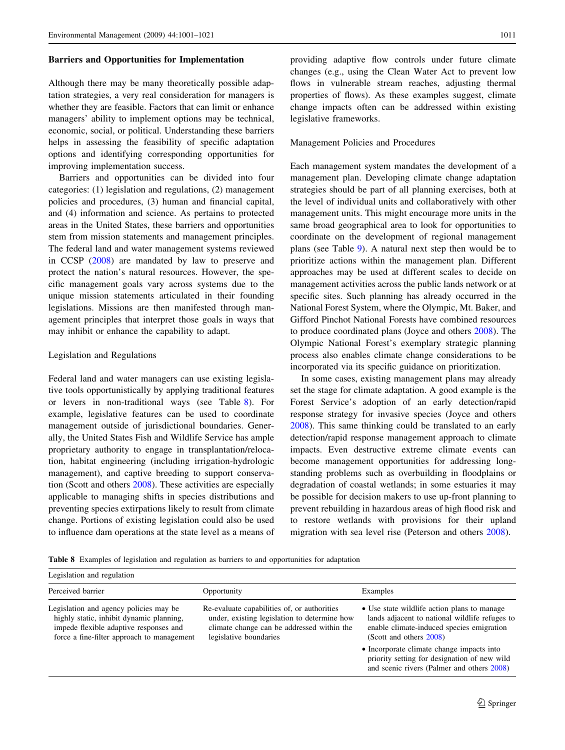### Barriers and Opportunities for Implementation

Although there may be many theoretically possible adaptation strategies, a very real consideration for managers is whether they are feasible. Factors that can limit or enhance managers' ability to implement options may be technical, economic, social, or political. Understanding these barriers helps in assessing the feasibility of specific adaptation options and identifying corresponding opportunities for improving implementation success.

Barriers and opportunities can be divided into four categories: (1) legislation and regulations, (2) management policies and procedures, (3) human and financial capital, and (4) information and science. As pertains to protected areas in the United States, these barriers and opportunities stem from mission statements and management principles. The federal land and water management systems reviewed in CCSP [\(2008](#page-18-0)) are mandated by law to preserve and protect the nation's natural resources. However, the specific management goals vary across systems due to the unique mission statements articulated in their founding legislations. Missions are then manifested through management principles that interpret those goals in ways that may inhibit or enhance the capability to adapt.

# Legislation and Regulations

Federal land and water managers can use existing legislative tools opportunistically by applying traditional features or levers in non-traditional ways (see Table 8). For example, legislative features can be used to coordinate management outside of jurisdictional boundaries. Generally, the United States Fish and Wildlife Service has ample proprietary authority to engage in transplantation/relocation, habitat engineering (including irrigation-hydrologic management), and captive breeding to support conservation (Scott and others [2008](#page-19-0)). These activities are especially applicable to managing shifts in species distributions and preventing species extirpations likely to result from climate change. Portions of existing legislation could also be used to influence dam operations at the state level as a means of providing adaptive flow controls under future climate changes (e.g., using the Clean Water Act to prevent low flows in vulnerable stream reaches, adjusting thermal properties of flows). As these examples suggest, climate change impacts often can be addressed within existing legislative frameworks.

Management Policies and Procedures

Each management system mandates the development of a management plan. Developing climate change adaptation strategies should be part of all planning exercises, both at the level of individual units and collaboratively with other management units. This might encourage more units in the same broad geographical area to look for opportunities to coordinate on the development of regional management plans (see Table [9\)](#page-11-0). A natural next step then would be to prioritize actions within the management plan. Different approaches may be used at different scales to decide on management activities across the public lands network or at specific sites. Such planning has already occurred in the National Forest System, where the Olympic, Mt. Baker, and Gifford Pinchot National Forests have combined resources to produce coordinated plans (Joyce and others [2008\)](#page-19-0). The Olympic National Forest's exemplary strategic planning process also enables climate change considerations to be incorporated via its specific guidance on prioritization.

In some cases, existing management plans may already set the stage for climate adaptation. A good example is the Forest Service's adoption of an early detection/rapid response strategy for invasive species (Joyce and others [2008](#page-19-0)). This same thinking could be translated to an early detection/rapid response management approach to climate impacts. Even destructive extreme climate events can become management opportunities for addressing longstanding problems such as overbuilding in floodplains or degradation of coastal wetlands; in some estuaries it may be possible for decision makers to use up-front planning to prevent rebuilding in hazardous areas of high flood risk and to restore wetlands with provisions for their upland migration with sea level rise (Peterson and others [2008\)](#page-19-0).

Table 8 Examples of legislation and regulation as barriers to and opportunities for adaptation

| Legislation and regulation                                                                                                                                                 |                                                                                                                                                                     |                                                                                                                                                                       |  |
|----------------------------------------------------------------------------------------------------------------------------------------------------------------------------|---------------------------------------------------------------------------------------------------------------------------------------------------------------------|-----------------------------------------------------------------------------------------------------------------------------------------------------------------------|--|
| Perceived barrier                                                                                                                                                          | Opportunity                                                                                                                                                         | Examples                                                                                                                                                              |  |
| Legislation and agency policies may be<br>highly static, inhibit dynamic planning,<br>impede flexible adaptive responses and<br>force a fine-filter approach to management | Re-evaluate capabilities of, or authorities<br>under, existing legislation to determine how<br>climate change can be addressed within the<br>legislative boundaries | • Use state wildlife action plans to manage<br>lands adjacent to national wildlife refuges to<br>enable climate-induced species emigration<br>(Scott and others 2008) |  |
|                                                                                                                                                                            |                                                                                                                                                                     | • Incorporate climate change impacts into<br>priority setting for designation of new wild<br>and scenic rivers (Palmer and others 2008)                               |  |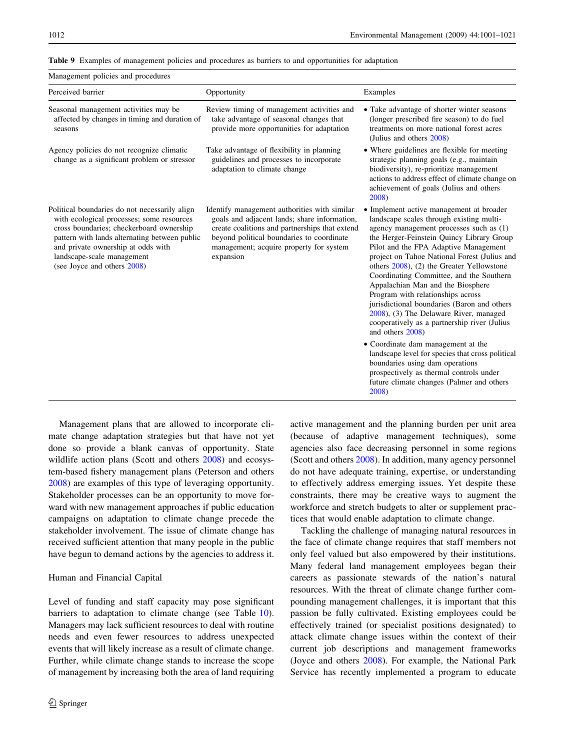| Management policies and procedures                                                                                                                                                                                                                                                         |                                                                                                                                                                                                                                                     |                                                                                                                                                                                                                                                                                                                                                                                                                                                                                                                                                                                                       |  |  |
|--------------------------------------------------------------------------------------------------------------------------------------------------------------------------------------------------------------------------------------------------------------------------------------------|-----------------------------------------------------------------------------------------------------------------------------------------------------------------------------------------------------------------------------------------------------|-------------------------------------------------------------------------------------------------------------------------------------------------------------------------------------------------------------------------------------------------------------------------------------------------------------------------------------------------------------------------------------------------------------------------------------------------------------------------------------------------------------------------------------------------------------------------------------------------------|--|--|
| Perceived barrier                                                                                                                                                                                                                                                                          | Opportunity                                                                                                                                                                                                                                         | Examples                                                                                                                                                                                                                                                                                                                                                                                                                                                                                                                                                                                              |  |  |
| Seasonal management activities may be<br>affected by changes in timing and duration of<br>seasons                                                                                                                                                                                          | Review timing of management activities and<br>take advantage of seasonal changes that<br>provide more opportunities for adaptation                                                                                                                  | • Take advantage of shorter winter seasons<br>(longer prescribed fire season) to do fuel<br>treatments on more national forest acres<br>(Julius and others 2008)                                                                                                                                                                                                                                                                                                                                                                                                                                      |  |  |
| Agency policies do not recognize climatic<br>change as a significant problem or stressor                                                                                                                                                                                                   | Take advantage of flexibility in planning<br>guidelines and processes to incorporate<br>adaptation to climate change                                                                                                                                | • Where guidelines are flexible for meeting<br>strategic planning goals (e.g., maintain<br>biodiversity), re-prioritize management<br>actions to address effect of climate change on<br>achievement of goals (Julius and others<br>2008)                                                                                                                                                                                                                                                                                                                                                              |  |  |
| Political boundaries do not necessarily align<br>with ecological processes; some resources<br>cross boundaries; checkerboard ownership<br>pattern with lands alternating between public<br>and private ownership at odds with<br>landscape-scale management<br>(see Joyce and others 2008) | Identify management authorities with similar<br>goals and adjacent lands; share information,<br>create coalitions and partnerships that extend<br>beyond political boundaries to coordinate<br>management; acquire property for system<br>expansion | • Implement active management at broader<br>landscape scales through existing multi-<br>agency management processes such as (1)<br>the Herger-Feinstein Quincy Library Group<br>Pilot and the FPA Adaptive Management<br>project on Tahoe National Forest (Julius and<br>others 2008), (2) the Greater Yellowstone<br>Coordinating Committee, and the Southern<br>Appalachian Man and the Biosphere<br>Program with relationships across<br>jurisdictional boundaries (Baron and others<br>2008), (3) The Delaware River, managed<br>cooperatively as a partnership river (Julius<br>and others 2008) |  |  |
|                                                                                                                                                                                                                                                                                            |                                                                                                                                                                                                                                                     | • Coordinate dam management at the<br>landscape level for species that cross political<br>boundaries using dam operations<br>prospectively as thermal controls under<br>future climate changes (Palmer and others<br>2008)                                                                                                                                                                                                                                                                                                                                                                            |  |  |

<span id="page-11-0"></span>Table 9 Examples of management policies and procedures as barriers to and opportunities for adaptation

Management plans that are allowed to incorporate climate change adaptation strategies but that have not yet done so provide a blank canvas of opportunity. State wildlife action plans (Scott and others [2008\)](#page-19-0) and ecosystem-based fishery management plans (Peterson and others [2008\)](#page-19-0) are examples of this type of leveraging opportunity. Stakeholder processes can be an opportunity to move forward with new management approaches if public education campaigns on adaptation to climate change precede the stakeholder involvement. The issue of climate change has received sufficient attention that many people in the public have begun to demand actions by the agencies to address it.

# Human and Financial Capital

Level of funding and staff capacity may pose significant barriers to adaptation to climate change (see Table [10](#page-12-0)). Managers may lack sufficient resources to deal with routine needs and even fewer resources to address unexpected events that will likely increase as a result of climate change. Further, while climate change stands to increase the scope of management by increasing both the area of land requiring

active management and the planning burden per unit area (because of adaptive management techniques), some agencies also face decreasing personnel in some regions (Scott and others [2008](#page-19-0)). In addition, many agency personnel do not have adequate training, expertise, or understanding to effectively address emerging issues. Yet despite these constraints, there may be creative ways to augment the workforce and stretch budgets to alter or supplement practices that would enable adaptation to climate change.

Tackling the challenge of managing natural resources in the face of climate change requires that staff members not only feel valued but also empowered by their institutions. Many federal land management employees began their careers as passionate stewards of the nation's natural resources. With the threat of climate change further compounding management challenges, it is important that this passion be fully cultivated. Existing employees could be effectively trained (or specialist positions designated) to attack climate change issues within the context of their current job descriptions and management frameworks (Joyce and others [2008](#page-19-0)). For example, the National Park Service has recently implemented a program to educate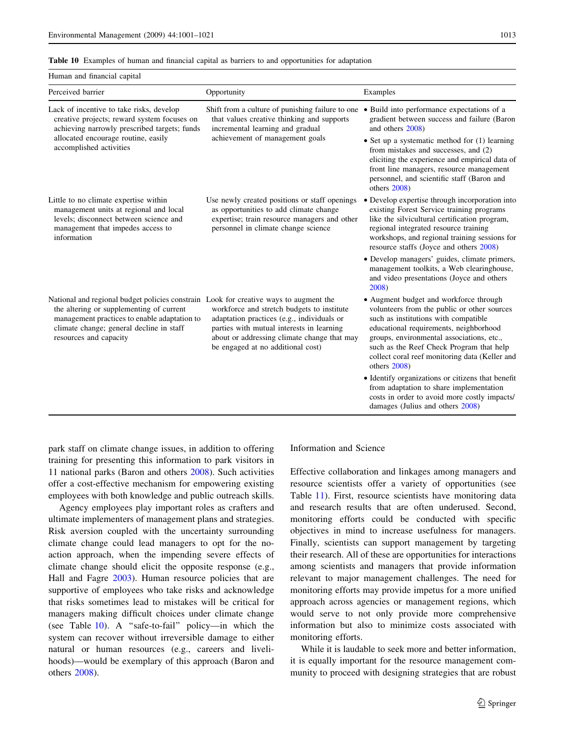<span id="page-12-0"></span>Table 10 Examples of human and financial capital as barriers to and opportunities for adaptation

| Human and financial capital                                                                                                                                                                                                                             |                                                                                                                                                                                                                           |                                                                                                                                                                                                                                                                                                                                                                         |  |  |
|---------------------------------------------------------------------------------------------------------------------------------------------------------------------------------------------------------------------------------------------------------|---------------------------------------------------------------------------------------------------------------------------------------------------------------------------------------------------------------------------|-------------------------------------------------------------------------------------------------------------------------------------------------------------------------------------------------------------------------------------------------------------------------------------------------------------------------------------------------------------------------|--|--|
| Perceived barrier                                                                                                                                                                                                                                       | Opportunity                                                                                                                                                                                                               | Examples                                                                                                                                                                                                                                                                                                                                                                |  |  |
| Lack of incentive to take risks, develop<br>creative projects; reward system focuses on<br>achieving narrowly prescribed targets; funds<br>allocated encourage routine, easily<br>accomplished activities                                               | Shift from a culture of punishing failure to one<br>that values creative thinking and supports<br>incremental learning and gradual<br>achievement of management goals                                                     | • Build into performance expectations of a<br>gradient between success and failure (Baron<br>and others 2008)<br>• Set up a systematic method for $(1)$ learning<br>from mistakes and successes, and (2)<br>eliciting the experience and empirical data of<br>front line managers, resource management<br>personnel, and scientific staff (Baron and<br>others $2008$ ) |  |  |
| Little to no climate expertise within<br>management units at regional and local<br>levels; disconnect between science and<br>management that impedes access to<br>information                                                                           | Use newly created positions or staff openings<br>as opportunities to add climate change<br>expertise; train resource managers and other<br>personnel in climate change science                                            | • Develop expertise through incorporation into<br>existing Forest Service training programs<br>like the silvicultural certification program,<br>regional integrated resource training<br>workshops, and regional training sessions for<br>resource staffs (Joyce and others 2008)                                                                                       |  |  |
|                                                                                                                                                                                                                                                         |                                                                                                                                                                                                                           | • Develop managers' guides, climate primers,<br>management toolkits, a Web clearinghouse,<br>and video presentations (Joyce and others<br>2008)                                                                                                                                                                                                                         |  |  |
| National and regional budget policies constrain Look for creative ways to augment the<br>the altering or supplementing of current<br>management practices to enable adaptation to<br>climate change; general decline in staff<br>resources and capacity | workforce and stretch budgets to institute<br>adaptation practices (e.g., individuals or<br>parties with mutual interests in learning<br>about or addressing climate change that may<br>be engaged at no additional cost) | • Augment budget and workforce through<br>volunteers from the public or other sources<br>such as institutions with compatible<br>educational requirements, neighborhood<br>groups, environmental associations, etc.,<br>such as the Reef Check Program that help<br>collect coral reef monitoring data (Keller and<br>others 2008)                                      |  |  |
|                                                                                                                                                                                                                                                         |                                                                                                                                                                                                                           | • Identify organizations or citizens that benefit<br>from adaptation to share implementation<br>costs in order to avoid more costly impacts/<br>damages (Julius and others 2008)                                                                                                                                                                                        |  |  |

park staff on climate change issues, in addition to offering training for presenting this information to park visitors in 11 national parks (Baron and others [2008\)](#page-17-0). Such activities offer a cost-effective mechanism for empowering existing employees with both knowledge and public outreach skills.

Agency employees play important roles as crafters and ultimate implementers of management plans and strategies. Risk aversion coupled with the uncertainty surrounding climate change could lead managers to opt for the noaction approach, when the impending severe effects of climate change should elicit the opposite response (e.g., Hall and Fagre [2003\)](#page-18-0). Human resource policies that are supportive of employees who take risks and acknowledge that risks sometimes lead to mistakes will be critical for managers making difficult choices under climate change (see Table 10). A ''safe-to-fail'' policy––in which the system can recover without irreversible damage to either natural or human resources (e.g., careers and livelihoods)––would be exemplary of this approach (Baron and others [2008\)](#page-17-0).

# Information and Science

Effective collaboration and linkages among managers and resource scientists offer a variety of opportunities (see Table [11](#page-13-0)). First, resource scientists have monitoring data and research results that are often underused. Second, monitoring efforts could be conducted with specific objectives in mind to increase usefulness for managers. Finally, scientists can support management by targeting their research. All of these are opportunities for interactions among scientists and managers that provide information relevant to major management challenges. The need for monitoring efforts may provide impetus for a more unified approach across agencies or management regions, which would serve to not only provide more comprehensive information but also to minimize costs associated with monitoring efforts.

While it is laudable to seek more and better information, it is equally important for the resource management community to proceed with designing strategies that are robust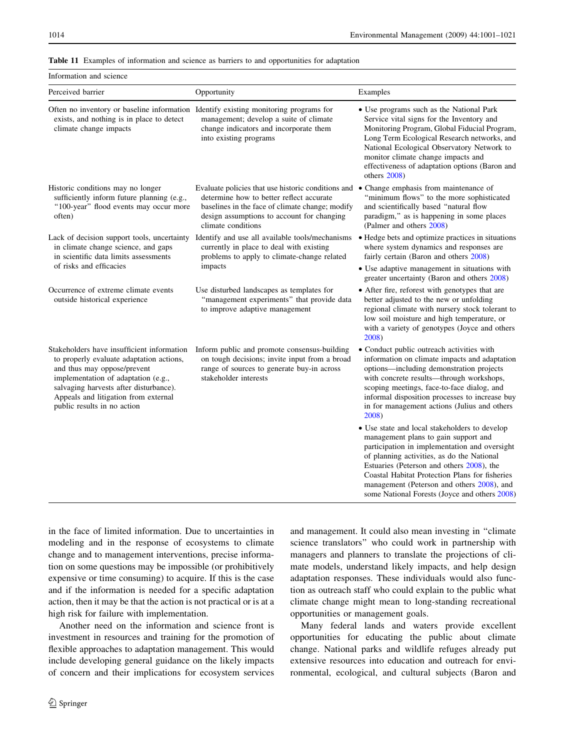| Information and science                                                                                                                                                                                                                                                       |                                                                                                                                                                                                                                                             |                                                                                                                                                                                                                                                                                                                                                                                    |  |  |
|-------------------------------------------------------------------------------------------------------------------------------------------------------------------------------------------------------------------------------------------------------------------------------|-------------------------------------------------------------------------------------------------------------------------------------------------------------------------------------------------------------------------------------------------------------|------------------------------------------------------------------------------------------------------------------------------------------------------------------------------------------------------------------------------------------------------------------------------------------------------------------------------------------------------------------------------------|--|--|
| Perceived barrier                                                                                                                                                                                                                                                             | Opportunity                                                                                                                                                                                                                                                 | Examples                                                                                                                                                                                                                                                                                                                                                                           |  |  |
| Often no inventory or baseline information Identify existing monitoring programs for<br>exists, and nothing is in place to detect<br>climate change impacts                                                                                                                   | management; develop a suite of climate<br>change indicators and incorporate them<br>into existing programs                                                                                                                                                  | • Use programs such as the National Park<br>Service vital signs for the Inventory and<br>Monitoring Program, Global Fiducial Program,<br>Long Term Ecological Research networks, and<br>National Ecological Observatory Network to<br>monitor climate change impacts and<br>effectiveness of adaptation options (Baron and<br>others 2008)                                         |  |  |
| Historic conditions may no longer<br>sufficiently inform future planning (e.g.,<br>"100-year" flood events may occur more<br>often)                                                                                                                                           | Evaluate policies that use historic conditions and • Change emphasis from maintenance of<br>determine how to better reflect accurate<br>baselines in the face of climate change; modify<br>design assumptions to account for changing<br>climate conditions | "minimum flows" to the more sophisticated<br>and scientifically based "natural flow<br>paradigm," as is happening in some places<br>(Palmer and others 2008)                                                                                                                                                                                                                       |  |  |
| Lack of decision support tools, uncertainty<br>in climate change science, and gaps<br>in scientific data limits assessments<br>of risks and efficacies                                                                                                                        | Identify and use all available tools/mechanisms<br>currently in place to deal with existing<br>problems to apply to climate-change related<br>impacts                                                                                                       | • Hedge bets and optimize practices in situations<br>where system dynamics and responses are<br>fairly certain (Baron and others 2008)                                                                                                                                                                                                                                             |  |  |
|                                                                                                                                                                                                                                                                               |                                                                                                                                                                                                                                                             | • Use adaptive management in situations with<br>greater uncertainty (Baron and others 2008)                                                                                                                                                                                                                                                                                        |  |  |
| Occurrence of extreme climate events<br>outside historical experience                                                                                                                                                                                                         | Use disturbed landscapes as templates for<br>"management experiments" that provide data<br>to improve adaptive management                                                                                                                                   | • After fire, reforest with genotypes that are<br>better adjusted to the new or unfolding<br>regional climate with nursery stock tolerant to<br>low soil moisture and high temperature, or<br>with a variety of genotypes (Joyce and others<br>2008)                                                                                                                               |  |  |
| Stakeholders have insufficient information<br>to properly evaluate adaptation actions,<br>and thus may oppose/prevent<br>implementation of adaptation (e.g.,<br>salvaging harvests after disturbance).<br>Appeals and litigation from external<br>public results in no action | Inform public and promote consensus-building<br>on tough decisions; invite input from a broad<br>range of sources to generate buy-in across<br>stakeholder interests                                                                                        | • Conduct public outreach activities with<br>information on climate impacts and adaptation<br>options—including demonstration projects<br>with concrete results—through workshops,<br>scoping meetings, face-to-face dialog, and<br>informal disposition processes to increase buy<br>in for management actions (Julius and others<br>2008)                                        |  |  |
|                                                                                                                                                                                                                                                                               |                                                                                                                                                                                                                                                             | • Use state and local stakeholders to develop<br>management plans to gain support and<br>participation in implementation and oversight<br>of planning activities, as do the National<br>Estuaries (Peterson and others 2008), the<br>Coastal Habitat Protection Plans for fisheries<br>management (Peterson and others 2008), and<br>some National Forests (Joyce and others 2008) |  |  |

<span id="page-13-0"></span>Table 11 Examples of information and science as barriers to and opportunities for adaptation

in the face of limited information. Due to uncertainties in modeling and in the response of ecosystems to climate change and to management interventions, precise information on some questions may be impossible (or prohibitively expensive or time consuming) to acquire. If this is the case and if the information is needed for a specific adaptation action, then it may be that the action is not practical or is at a high risk for failure with implementation.

Another need on the information and science front is investment in resources and training for the promotion of flexible approaches to adaptation management. This would include developing general guidance on the likely impacts of concern and their implications for ecosystem services and management. It could also mean investing in ''climate science translators'' who could work in partnership with managers and planners to translate the projections of climate models, understand likely impacts, and help design adaptation responses. These individuals would also function as outreach staff who could explain to the public what climate change might mean to long-standing recreational opportunities or management goals.

Many federal lands and waters provide excellent opportunities for educating the public about climate change. National parks and wildlife refuges already put extensive resources into education and outreach for environmental, ecological, and cultural subjects (Baron and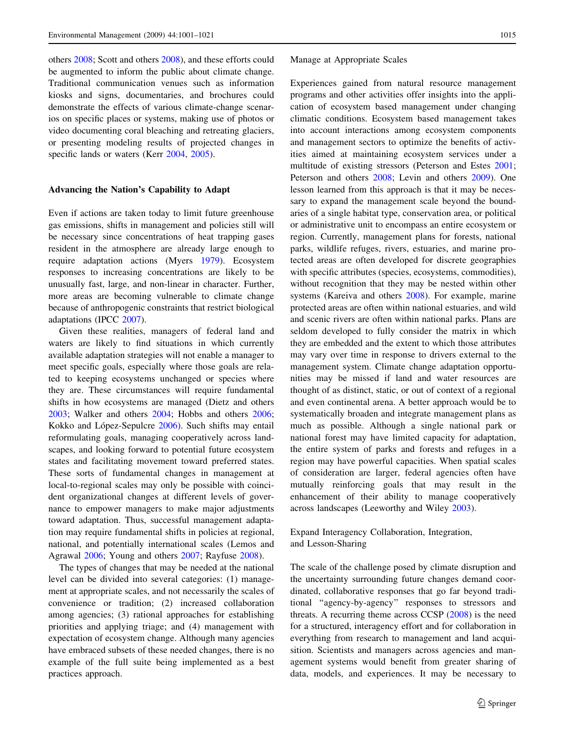others [2008;](#page-17-0) Scott and others [2008](#page-19-0)), and these efforts could be augmented to inform the public about climate change. Traditional communication venues such as information kiosks and signs, documentaries, and brochures could demonstrate the effects of various climate-change scenarios on specific places or systems, making use of photos or video documenting coral bleaching and retreating glaciers, or presenting modeling results of projected changes in specific lands or waters (Kerr [2004](#page-19-0), [2005](#page-19-0)).

# Advancing the Nation's Capability to Adapt

Even if actions are taken today to limit future greenhouse gas emissions, shifts in management and policies still will be necessary since concentrations of heat trapping gases resident in the atmosphere are already large enough to require adaptation actions (Myers [1979\)](#page-19-0). Ecosystem responses to increasing concentrations are likely to be unusually fast, large, and non-linear in character. Further, more areas are becoming vulnerable to climate change because of anthropogenic constraints that restrict biological adaptations (IPCC [2007\)](#page-18-0).

Given these realities, managers of federal land and waters are likely to find situations in which currently available adaptation strategies will not enable a manager to meet specific goals, especially where those goals are related to keeping ecosystems unchanged or species where they are. These circumstances will require fundamental shifts in how ecosystems are managed (Dietz and others [2003;](#page-18-0) Walker and others [2004](#page-20-0); Hobbs and others [2006](#page-18-0); Kokko and López-Sepulcre [2006](#page-19-0)). Such shifts may entail reformulating goals, managing cooperatively across landscapes, and looking forward to potential future ecosystem states and facilitating movement toward preferred states. These sorts of fundamental changes in management at local-to-regional scales may only be possible with coincident organizational changes at different levels of governance to empower managers to make major adjustments toward adaptation. Thus, successful management adaptation may require fundamental shifts in policies at regional, national, and potentially international scales (Lemos and Agrawal [2006;](#page-19-0) Young and others [2007;](#page-20-0) Rayfuse [2008\)](#page-19-0).

The types of changes that may be needed at the national level can be divided into several categories: (1) management at appropriate scales, and not necessarily the scales of convenience or tradition; (2) increased collaboration among agencies; (3) rational approaches for establishing priorities and applying triage; and (4) management with expectation of ecosystem change. Although many agencies have embraced subsets of these needed changes, there is no example of the full suite being implemented as a best practices approach.

#### Manage at Appropriate Scales

Experiences gained from natural resource management programs and other activities offer insights into the application of ecosystem based management under changing climatic conditions. Ecosystem based management takes into account interactions among ecosystem components and management sectors to optimize the benefits of activities aimed at maintaining ecosystem services under a multitude of existing stressors (Peterson and Estes [2001](#page-19-0); Peterson and others [2008](#page-19-0); Levin and others [2009](#page-19-0)). One lesson learned from this approach is that it may be necessary to expand the management scale beyond the boundaries of a single habitat type, conservation area, or political or administrative unit to encompass an entire ecosystem or region. Currently, management plans for forests, national parks, wildlife refuges, rivers, estuaries, and marine protected areas are often developed for discrete geographies with specific attributes (species, ecosystems, commodities), without recognition that they may be nested within other systems (Kareiva and others [2008\)](#page-19-0). For example, marine protected areas are often within national estuaries, and wild and scenic rivers are often within national parks. Plans are seldom developed to fully consider the matrix in which they are embedded and the extent to which those attributes may vary over time in response to drivers external to the management system. Climate change adaptation opportunities may be missed if land and water resources are thought of as distinct, static, or out of context of a regional and even continental arena. A better approach would be to systematically broaden and integrate management plans as much as possible. Although a single national park or national forest may have limited capacity for adaptation, the entire system of parks and forests and refuges in a region may have powerful capacities. When spatial scales of consideration are larger, federal agencies often have mutually reinforcing goals that may result in the enhancement of their ability to manage cooperatively across landscapes (Leeworthy and Wiley [2003\)](#page-19-0).

# Expand Interagency Collaboration, Integration, and Lesson-Sharing

The scale of the challenge posed by climate disruption and the uncertainty surrounding future changes demand coordinated, collaborative responses that go far beyond traditional ''agency-by-agency'' responses to stressors and threats. A recurring theme across CCSP [\(2008](#page-18-0)) is the need for a structured, interagency effort and for collaboration in everything from research to management and land acquisition. Scientists and managers across agencies and management systems would benefit from greater sharing of data, models, and experiences. It may be necessary to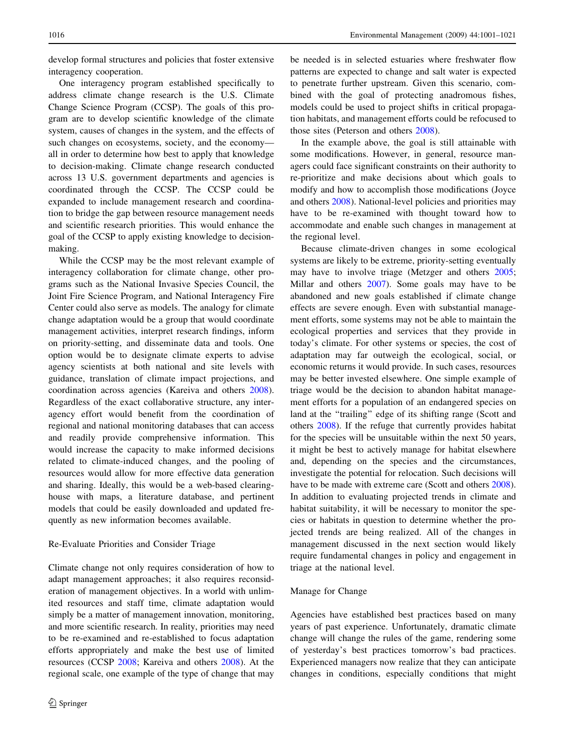develop formal structures and policies that foster extensive interagency cooperation.

One interagency program established specifically to address climate change research is the U.S. Climate Change Science Program (CCSP). The goals of this program are to develop scientific knowledge of the climate system, causes of changes in the system, and the effects of such changes on ecosystems, society, and the economy all in order to determine how best to apply that knowledge to decision-making. Climate change research conducted across 13 U.S. government departments and agencies is coordinated through the CCSP. The CCSP could be expanded to include management research and coordination to bridge the gap between resource management needs and scientific research priorities. This would enhance the goal of the CCSP to apply existing knowledge to decisionmaking.

While the CCSP may be the most relevant example of interagency collaboration for climate change, other programs such as the National Invasive Species Council, the Joint Fire Science Program, and National Interagency Fire Center could also serve as models. The analogy for climate change adaptation would be a group that would coordinate management activities, interpret research findings, inform on priority-setting, and disseminate data and tools. One option would be to designate climate experts to advise agency scientists at both national and site levels with guidance, translation of climate impact projections, and coordination across agencies (Kareiva and others [2008](#page-19-0)). Regardless of the exact collaborative structure, any interagency effort would benefit from the coordination of regional and national monitoring databases that can access and readily provide comprehensive information. This would increase the capacity to make informed decisions related to climate-induced changes, and the pooling of resources would allow for more effective data generation and sharing. Ideally, this would be a web-based clearinghouse with maps, a literature database, and pertinent models that could be easily downloaded and updated frequently as new information becomes available.

### Re-Evaluate Priorities and Consider Triage

Climate change not only requires consideration of how to adapt management approaches; it also requires reconsideration of management objectives. In a world with unlimited resources and staff time, climate adaptation would simply be a matter of management innovation, monitoring, and more scientific research. In reality, priorities may need to be re-examined and re-established to focus adaptation efforts appropriately and make the best use of limited resources (CCSP [2008](#page-18-0); Kareiva and others [2008](#page-19-0)). At the regional scale, one example of the type of change that may be needed is in selected estuaries where freshwater flow patterns are expected to change and salt water is expected to penetrate further upstream. Given this scenario, combined with the goal of protecting anadromous fishes, models could be used to project shifts in critical propagation habitats, and management efforts could be refocused to those sites (Peterson and others [2008](#page-19-0)).

In the example above, the goal is still attainable with some modifications. However, in general, resource managers could face significant constraints on their authority to re-prioritize and make decisions about which goals to modify and how to accomplish those modifications (Joyce and others [2008\)](#page-19-0). National-level policies and priorities may have to be re-examined with thought toward how to accommodate and enable such changes in management at the regional level.

Because climate-driven changes in some ecological systems are likely to be extreme, priority-setting eventually may have to involve triage (Metzger and others [2005](#page-19-0); Millar and others [2007](#page-19-0)). Some goals may have to be abandoned and new goals established if climate change effects are severe enough. Even with substantial management efforts, some systems may not be able to maintain the ecological properties and services that they provide in today's climate. For other systems or species, the cost of adaptation may far outweigh the ecological, social, or economic returns it would provide. In such cases, resources may be better invested elsewhere. One simple example of triage would be the decision to abandon habitat management efforts for a population of an endangered species on land at the ''trailing'' edge of its shifting range (Scott and others [2008](#page-19-0)). If the refuge that currently provides habitat for the species will be unsuitable within the next 50 years, it might be best to actively manage for habitat elsewhere and, depending on the species and the circumstances, investigate the potential for relocation. Such decisions will have to be made with extreme care (Scott and others [2008](#page-19-0)). In addition to evaluating projected trends in climate and habitat suitability, it will be necessary to monitor the species or habitats in question to determine whether the projected trends are being realized. All of the changes in management discussed in the next section would likely require fundamental changes in policy and engagement in triage at the national level.

### Manage for Change

Agencies have established best practices based on many years of past experience. Unfortunately, dramatic climate change will change the rules of the game, rendering some of yesterday's best practices tomorrow's bad practices. Experienced managers now realize that they can anticipate changes in conditions, especially conditions that might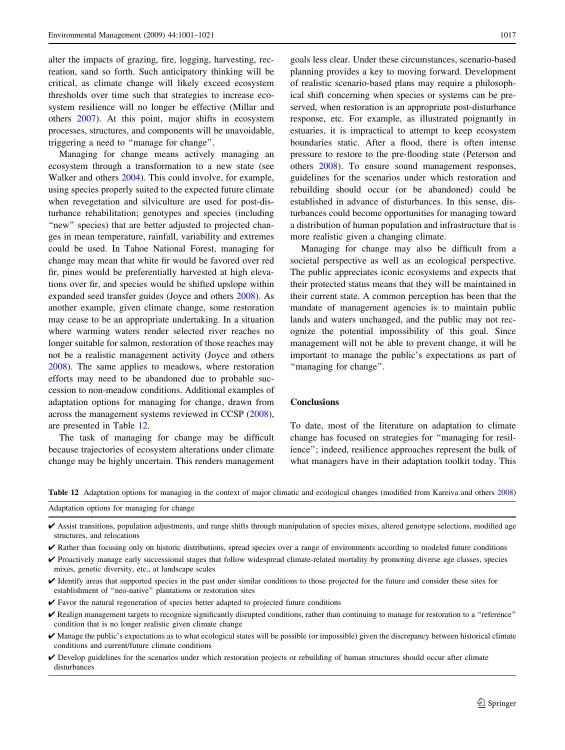alter the impacts of grazing, fire, logging, harvesting, recreation, sand so forth. Such anticipatory thinking will be critical, as climate change will likely exceed ecosystem thresholds over time such that strategies to increase ecosystem resilience will no longer be effective (Millar and others [2007](#page-19-0)). At this point, major shifts in ecosystem processes, structures, and components will be unavoidable, triggering a need to ''manage for change''.

Managing for change means actively managing an ecosystem through a transformation to a new state (see Walker and others [2004](#page-20-0)). This could involve, for example, using species properly suited to the expected future climate when revegetation and silviculture are used for post-disturbance rehabilitation; genotypes and species (including "new" species) that are better adjusted to projected changes in mean temperature, rainfall, variability and extremes could be used. In Tahoe National Forest, managing for change may mean that white fir would be favored over red fir, pines would be preferentially harvested at high elevations over fir, and species would be shifted upslope within expanded seed transfer guides (Joyce and others [2008](#page-19-0)). As another example, given climate change, some restoration may cease to be an appropriate undertaking. In a situation where warming waters render selected river reaches no longer suitable for salmon, restoration of those reaches may not be a realistic management activity (Joyce and others [2008\)](#page-19-0). The same applies to meadows, where restoration efforts may need to be abandoned due to probable succession to non-meadow conditions. Additional examples of adaptation options for managing for change, drawn from across the management systems reviewed in CCSP [\(2008](#page-18-0)), are presented in Table 12.

The task of managing for change may be difficult because trajectories of ecosystem alterations under climate change may be highly uncertain. This renders management goals less clear. Under these circumstances, scenario-based planning provides a key to moving forward. Development of realistic scenario-based plans may require a philosophical shift concerning when species or systems can be preserved, when restoration is an appropriate post-disturbance response, etc. For example, as illustrated poignantly in estuaries, it is impractical to attempt to keep ecosystem boundaries static. After a flood, there is often intense pressure to restore to the pre-flooding state (Peterson and others [2008](#page-19-0)). To ensure sound management responses, guidelines for the scenarios under which restoration and rebuilding should occur (or be abandoned) could be established in advance of disturbances. In this sense, disturbances could become opportunities for managing toward a distribution of human population and infrastructure that is more realistic given a changing climate.

Managing for change may also be difficult from a societal perspective as well as an ecological perspective. The public appreciates iconic ecosystems and expects that their protected status means that they will be maintained in their current state. A common perception has been that the mandate of management agencies is to maintain public lands and waters unchanged, and the public may not recognize the potential impossibility of this goal. Since management will not be able to prevent change, it will be important to manage the public's expectations as part of ''managing for change''.

# **Conclusions**

To date, most of the literature on adaptation to climate change has focused on strategies for ''managing for resilience''; indeed, resilience approaches represent the bulk of what managers have in their adaptation toolkit today. This

Table 12 Adaptation options for managing in the context of major climatic and ecological changes (modified from Kareiva and others [2008](#page-19-0))

Adaptation options for managing for change

4 Assist transitions, population adjustments, and range shifts through manipulation of species mixes, altered genotype selections, modified age structures, and relocations

- 4 Rather than focusing only on historic distributions, spread species over a range of environments according to modeled future conditions
- 4 Proactively manage early successional stages that follow widespread climate-related mortality by promoting diverse age classes, species mixes, genetic diversity, etc., at landscape scales
- 4 Identify areas that supported species in the past under similar conditions to those projected for the future and consider these sites for establishment of ''neo-native'' plantations or restoration sites
- $\vee$  Favor the natural regeneration of species better adapted to projected future conditions
- 4 Realign management targets to recognize significantly disrupted conditions, rather than continuing to manage for restoration to a ''reference'' condition that is no longer realistic given climate change
- 4 Manage the public's expectations as to what ecological states will be possible (or impossible) given the discrepancy between historical climate conditions and current/future climate conditions
- 4 Develop guidelines for the scenarios under which restoration projects or rebuilding of human structures should occur after climate disturbances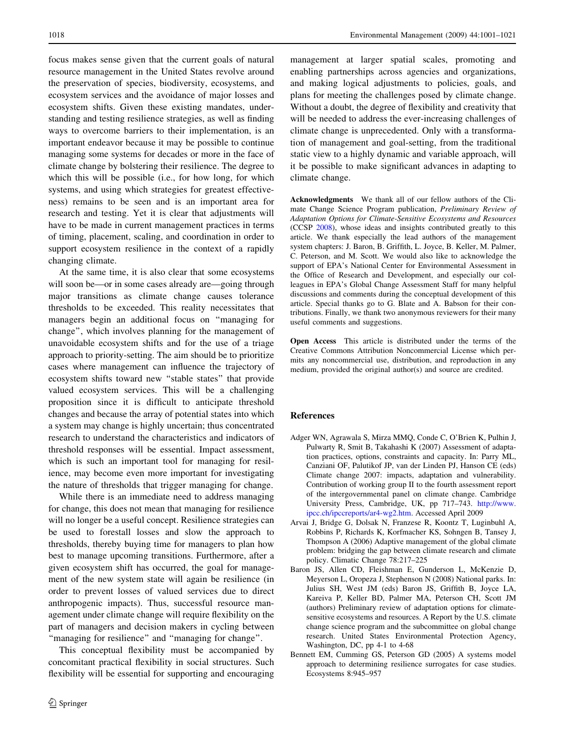<span id="page-17-0"></span>focus makes sense given that the current goals of natural resource management in the United States revolve around the preservation of species, biodiversity, ecosystems, and ecosystem services and the avoidance of major losses and ecosystem shifts. Given these existing mandates, understanding and testing resilience strategies, as well as finding ways to overcome barriers to their implementation, is an important endeavor because it may be possible to continue managing some systems for decades or more in the face of climate change by bolstering their resilience. The degree to which this will be possible (i.e., for how long, for which systems, and using which strategies for greatest effectiveness) remains to be seen and is an important area for research and testing. Yet it is clear that adjustments will have to be made in current management practices in terms of timing, placement, scaling, and coordination in order to support ecosystem resilience in the context of a rapidly changing climate.

At the same time, it is also clear that some ecosystems will soon be—or in some cases already are—going through major transitions as climate change causes tolerance thresholds to be exceeded. This reality necessitates that managers begin an additional focus on ''managing for change'', which involves planning for the management of unavoidable ecosystem shifts and for the use of a triage approach to priority-setting. The aim should be to prioritize cases where management can influence the trajectory of ecosystem shifts toward new ''stable states'' that provide valued ecosystem services. This will be a challenging proposition since it is difficult to anticipate threshold changes and because the array of potential states into which a system may change is highly uncertain; thus concentrated research to understand the characteristics and indicators of threshold responses will be essential. Impact assessment, which is such an important tool for managing for resilience, may become even more important for investigating the nature of thresholds that trigger managing for change.

While there is an immediate need to address managing for change, this does not mean that managing for resilience will no longer be a useful concept. Resilience strategies can be used to forestall losses and slow the approach to thresholds, thereby buying time for managers to plan how best to manage upcoming transitions. Furthermore, after a given ecosystem shift has occurred, the goal for management of the new system state will again be resilience (in order to prevent losses of valued services due to direct anthropogenic impacts). Thus, successful resource management under climate change will require flexibility on the part of managers and decision makers in cycling between ''managing for resilience'' and ''managing for change''.

This conceptual flexibility must be accompanied by concomitant practical flexibility in social structures. Such flexibility will be essential for supporting and encouraging

management at larger spatial scales, promoting and enabling partnerships across agencies and organizations, and making logical adjustments to policies, goals, and plans for meeting the challenges posed by climate change. Without a doubt, the degree of flexibility and creativity that will be needed to address the ever-increasing challenges of climate change is unprecedented. Only with a transformation of management and goal-setting, from the traditional static view to a highly dynamic and variable approach, will it be possible to make significant advances in adapting to climate change.

Acknowledgments We thank all of our fellow authors of the Climate Change Science Program publication, Preliminary Review of Adaptation Options for Climate-Sensitive Ecosystems and Resources (CCSP [2008](#page-18-0)), whose ideas and insights contributed greatly to this article. We thank especially the lead authors of the management system chapters: J. Baron, B. Griffith, L. Joyce, B. Keller, M. Palmer, C. Peterson, and M. Scott. We would also like to acknowledge the support of EPA's National Center for Environmental Assessment in the Office of Research and Development, and especially our colleagues in EPA's Global Change Assessment Staff for many helpful discussions and comments during the conceptual development of this article. Special thanks go to G. Blate and A. Babson for their contributions. Finally, we thank two anonymous reviewers for their many useful comments and suggestions.

Open Access This article is distributed under the terms of the Creative Commons Attribution Noncommercial License which permits any noncommercial use, distribution, and reproduction in any medium, provided the original author(s) and source are credited.

# References

- Adger WN, Agrawala S, Mirza MMQ, Conde C, O'Brien K, Pulhin J, Pulwarty R, Smit B, Takahashi K (2007) Assessment of adaptation practices, options, constraints and capacity. In: Parry ML, Canziani OF, Palutikof JP, van der Linden PJ, Hanson CE (eds) Climate change 2007: impacts, adaptation and vulnerability. Contribution of working group II to the fourth assessment report of the intergovernmental panel on climate change. Cambridge University Press, Cambridge, UK, pp 717–743. [http://www.](http://www.ipcc.ch/ipccreports/ar4-wg2.htm) [ipcc.ch/ipccreports/ar4-wg2.htm.](http://www.ipcc.ch/ipccreports/ar4-wg2.htm) Accessed April 2009
- Arvai J, Bridge G, Dolsak N, Franzese R, Koontz T, Luginbuhl A, Robbins P, Richards K, Korfmacher KS, Sohngen B, Tansey J, Thompson A (2006) Adaptive management of the global climate problem: bridging the gap between climate research and climate policy. Climatic Change 78:217–225
- Baron JS, Allen CD, Fleishman E, Gunderson L, McKenzie D, Meyerson L, Oropeza J, Stephenson N (2008) National parks. In: Julius SH, West JM (eds) Baron JS, Griffith B, Joyce LA, Kareiva P, Keller BD, Palmer MA, Peterson CH, Scott JM (authors) Preliminary review of adaptation options for climatesensitive ecosystems and resources. A Report by the U.S. climate change science program and the subcommittee on global change research. United States Environmental Protection Agency, Washington, DC, pp 4-1 to 4-68
- Bennett EM, Cumming GS, Peterson GD (2005) A systems model approach to determining resilience surrogates for case studies. Ecosystems 8:945–957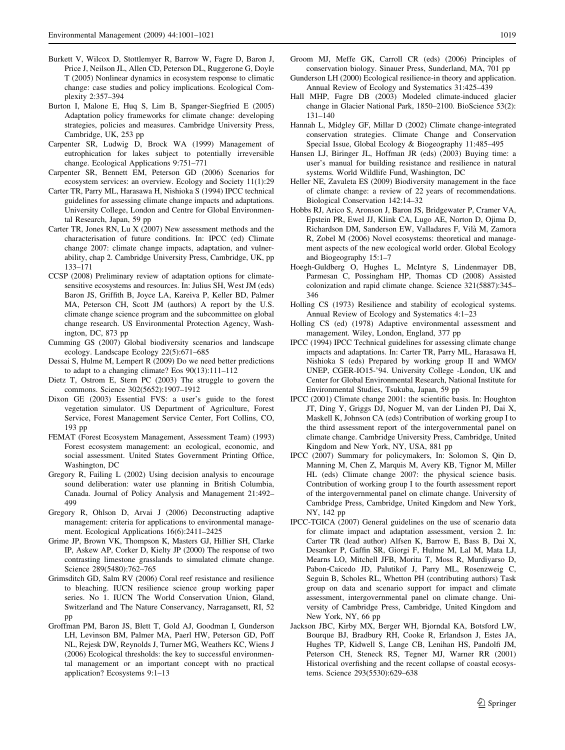- <span id="page-18-0"></span>Burkett V, Wilcox D, Stottlemyer R, Barrow W, Fagre D, Baron J, Price J, Neilson JL, Allen CD, Peterson DL, Ruggerone G, Doyle T (2005) Nonlinear dynamics in ecosystem response to climatic change: case studies and policy implications. Ecological Complexity 2:357–394
- Burton I, Malone E, Huq S, Lim B, Spanger-Siegfried E (2005) Adaptation policy frameworks for climate change: developing strategies, policies and measures. Cambridge University Press, Cambridge, UK, 253 pp
- Carpenter SR, Ludwig D, Brock WA (1999) Management of eutrophication for lakes subject to potentially irreversible change. Ecological Applications 9:751–771
- Carpenter SR, Bennett EM, Peterson GD (2006) Scenarios for ecosystem services: an overview. Ecology and Society 11(1):29
- Carter TR, Parry ML, Harasawa H, Nishioka S (1994) IPCC technical guidelines for assessing climate change impacts and adaptations. University College, London and Centre for Global Environmental Research, Japan, 59 pp
- Carter TR, Jones RN, Lu X (2007) New assessment methods and the characterisation of future conditions. In: IPCC (ed) Climate change 2007: climate change impacts, adaptation, and vulnerability, chap 2. Cambridge University Press, Cambridge, UK, pp 133–171
- CCSP (2008) Preliminary review of adaptation options for climatesensitive ecosystems and resources. In: Julius SH, West JM (eds) Baron JS, Griffith B, Joyce LA, Kareiva P, Keller BD, Palmer MA, Peterson CH, Scott JM (authors) A report by the U.S. climate change science program and the subcommittee on global change research. US Environmental Protection Agency, Washington, DC, 873 pp
- Cumming GS (2007) Global biodiversity scenarios and landscape ecology. Landscape Ecology 22(5):671–685
- Dessai S, Hulme M, Lempert R (2009) Do we need better predictions to adapt to a changing climate? Eos 90(13):111–112
- Dietz T, Ostrom E, Stern PC (2003) The struggle to govern the commons. Science 302(5652):1907–1912
- Dixon GE (2003) Essential FVS: a user's guide to the forest vegetation simulator. US Department of Agriculture, Forest Service, Forest Management Service Center, Fort Collins, CO, 193 pp
- FEMAT (Forest Ecosystem Management, Assessment Team) (1993) Forest ecosystem management: an ecological, economic, and social assessment. United States Government Printing Office, Washington, DC
- Gregory R, Failing L (2002) Using decision analysis to encourage sound deliberation: water use planning in British Columbia, Canada. Journal of Policy Analysis and Management 21:492– 499
- Gregory R, Ohlson D, Arvai J (2006) Deconstructing adaptive management: criteria for applications to environmental management. Ecological Applications 16(6):2411–2425
- Grime JP, Brown VK, Thompson K, Masters GJ, Hillier SH, Clarke IP, Askew AP, Corker D, Kielty JP (2000) The response of two contrasting limestone grasslands to simulated climate change. Science 289(5480):762–765
- Grimsditch GD, Salm RV (2006) Coral reef resistance and resilience to bleaching. IUCN resilience science group working paper series. No 1. IUCN The World Conservation Union, Gland, Switzerland and The Nature Conservancy, Narragansett, RI, 52 pp
- Groffman PM, Baron JS, Blett T, Gold AJ, Goodman I, Gunderson LH, Levinson BM, Palmer MA, Paerl HW, Peterson GD, Poff NL, Rejesk DW, Reynolds J, Turner MG, Weathers KC, Wiens J (2006) Ecological thresholds: the key to successful environmental management or an important concept with no practical application? Ecosystems 9:1–13
- Groom MJ, Meffe GK, Carroll CR (eds) (2006) Principles of conservation biology. Sinauer Press, Sunderland, MA, 701 pp
- Gunderson LH (2000) Ecological resilience-in theory and application. Annual Review of Ecology and Systematics 31:425–439
- Hall MHP, Fagre DB (2003) Modeled climate-induced glacier change in Glacier National Park, 1850–2100. BioScience 53(2): 131–140
- Hannah L, Midgley GF, Millar D (2002) Climate change-integrated conservation strategies. Climate Change and Conservation Special Issue, Global Ecology & Biogeography 11:485–495
- Hansen LJ, Biringer JL, Hoffman JR (eds) (2003) Buying time: a user's manual for building resistance and resilience in natural systems. World Wildlife Fund, Washington, DC
- Heller NE, Zavaleta ES (2009) Biodiversity management in the face of climate change: a review of 22 years of recommendations. Biological Conservation 142:14–32
- Hobbs RJ, Arico S, Aronson J, Baron JS, Bridgewater P, Cramer VA, Epstein PR, Ewel JJ, Klink CA, Lugo AE, Norton D, Ojima D, Richardson DM, Sanderson EW, Valladares F, Vila` M, Zamora R, Zobel M (2006) Novel ecosystems: theoretical and management aspects of the new ecological world order. Global Ecology and Biogeography 15:1–7
- Hoegh-Guldberg O, Hughes L, McIntyre S, Lindenmayer DB, Parmesan C, Possingham HP, Thomas CD (2008) Assisted colonization and rapid climate change. Science 321(5887):345– 346
- Holling CS (1973) Resilience and stability of ecological systems. Annual Review of Ecology and Systematics 4:1–23
- Holling CS (ed) (1978) Adaptive environmental assessment and management. Wiley, London, England, 377 pp
- IPCC (1994) IPCC Technical guidelines for assessing climate change impacts and adaptations. In: Carter TR, Parry ML, Harasawa H, Nishioka S (eds) Prepared by working group II and WMO/ UNEP, CGER-IO15-'94. University College -London, UK and Center for Global Environmental Research, National Institute for Environmental Studies, Tsukuba, Japan, 59 pp
- IPCC (2001) Climate change 2001: the scientific basis. In: Houghton JT, Ding Y, Griggs DJ, Noguer M, van der Linden PJ, Dai X, Maskell K, Johnson CA (eds) Contribution of working group I to the third assessment report of the intergovernmental panel on climate change. Cambridge University Press, Cambridge, United Kingdom and New York, NY, USA, 881 pp
- IPCC (2007) Summary for policymakers, In: Solomon S, Qin D, Manning M, Chen Z, Marquis M, Avery KB, Tignor M, Miller HL (eds) Climate change 2007: the physical science basis. Contribution of working group I to the fourth assessment report of the intergovernmental panel on climate change. University of Cambridge Press, Cambridge, United Kingdom and New York, NY, 142 pp
- IPCC-TGICA (2007) General guidelines on the use of scenario data for climate impact and adaptation assessment, version 2. In: Carter TR (lead author) Alfsen K, Barrow E, Bass B, Dai X, Desanker P, Gaffin SR, Giorgi F, Hulme M, Lal M, Mata LJ, Mearns LO, Mitchell JFB, Morita T, Moss R, Murdiyarso D, Pabon-Caicedo JD, Palutikof J, Parry ML, Rosenzweig C, Seguin B, Scholes RL, Whetton PH (contributing authors) Task group on data and scenario support for impact and climate assessment, intergovernmental panel on climate change. University of Cambridge Press, Cambridge, United Kingdom and New York, NY, 66 pp
- Jackson JBC, Kirby MX, Berger WH, Bjorndal KA, Botsford LW, Bourque BJ, Bradbury RH, Cooke R, Erlandson J, Estes JA, Hughes TP, Kidwell S, Lange CB, Lenihan HS, Pandolfi JM, Peterson CH, Steneck RS, Tegner MJ, Warner RR (2001) Historical overfishing and the recent collapse of coastal ecosystems. Science 293(5530):629–638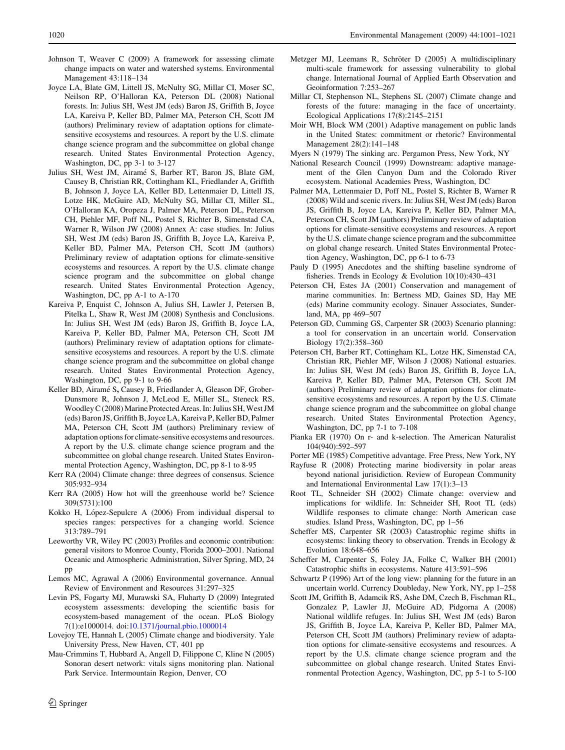- <span id="page-19-0"></span>Johnson T, Weaver C (2009) A framework for assessing climate change impacts on water and watershed systems. Environmental Management 43:118–134
- Joyce LA, Blate GM, Littell JS, McNulty SG, Millar CI, Moser SC, Neilson RP, O'Halloran KA, Peterson DL (2008) National forests. In: Julius SH, West JM (eds) Baron JS, Griffith B, Joyce LA, Kareiva P, Keller BD, Palmer MA, Peterson CH, Scott JM (authors) Preliminary review of adaptation options for climatesensitive ecosystems and resources. A report by the U.S. climate change science program and the subcommittee on global change research. United States Environmental Protection Agency, Washington, DC, pp 3-1 to 3-127
- Julius SH, West JM, Airamé S, Barber RT, Baron JS, Blate GM, Causey B, Christian RR, Cottingham KL, Friedlander A, Griffith B, Johnson J, Joyce LA, Keller BD, Lettenmaier D, Littell JS, Lotze HK, McGuire AD, McNulty SG, Millar CI, Miller SL, O'Halloran KA, Oropeza J, Palmer MA, Peterson DL, Peterson CH, Piehler MF, Poff NL, Postel S, Richter B, Simenstad CA, Warner R, Wilson JW (2008) Annex A: case studies. In: Julius SH, West JM (eds) Baron JS, Griffith B, Joyce LA, Kareiva P, Keller BD, Palmer MA, Peterson CH, Scott JM (authors) Preliminary review of adaptation options for climate-sensitive ecosystems and resources. A report by the U.S. climate change science program and the subcommittee on global change research. United States Environmental Protection Agency, Washington, DC, pp A-1 to A-170
- Kareiva P, Enquist C, Johnson A, Julius SH, Lawler J, Petersen B, Pitelka L, Shaw R, West JM (2008) Synthesis and Conclusions. In: Julius SH, West JM (eds) Baron JS, Griffith B, Joyce LA, Kareiva P, Keller BD, Palmer MA, Peterson CH, Scott JM (authors) Preliminary review of adaptation options for climatesensitive ecosystems and resources. A report by the U.S. climate change science program and the subcommittee on global change research. United States Environmental Protection Agency, Washington, DC, pp 9-1 to 9-66
- Keller BD, Airamé S, Causey B, Friedlander A, Gleason DF, Grober-Dunsmore R, Johnson J, McLeod E, Miller SL, Steneck RS, Woodley C (2008) Marine Protected Areas. In: Julius SH, West JM (eds) Baron JS, Griffith B, Joyce LA, Kareiva P, Keller BD, Palmer MA, Peterson CH, Scott JM (authors) Preliminary review of adaptation options for climate-sensitive ecosystems and resources. A report by the U.S. climate change science program and the subcommittee on global change research. United States Environmental Protection Agency, Washington, DC, pp 8-1 to 8-95
- Kerr RA (2004) Climate change: three degrees of consensus. Science 305:932–934
- Kerr RA (2005) How hot will the greenhouse world be? Science 309(5731):100
- Kokko H, López-Sepulcre A (2006) From individual dispersal to species ranges: perspectives for a changing world. Science 313:789–791
- Leeworthy VR, Wiley PC (2003) Profiles and economic contribution: general visitors to Monroe County, Florida 2000–2001. National Oceanic and Atmospheric Administration, Silver Spring, MD, 24 pp
- Lemos MC, Agrawal A (2006) Environmental governance. Annual Review of Environment and Resources 31:297–325
- Levin PS, Fogarty MJ, Murawski SA, Fluharty D (2009) Integrated ecosystem assessments: developing the scientific basis for ecosystem-based management of the ocean. PLoS Biology 7(1):e1000014. doi[:10.1371/journal.pbio.1000014](http://dx.doi.org/10.1371/journal.pbio.1000014)
- Lovejoy TE, Hannah L (2005) Climate change and biodiversity. Yale University Press, New Haven, CT, 401 pp
- Mau-Crimmins T, Hubbard A, Angell D, Filippone C, Kline N (2005) Sonoran desert network: vitals signs monitoring plan. National Park Service. Intermountain Region, Denver, CO
- Metzger MJ, Leemans R, Schröter D (2005) A multidisciplinary multi-scale framework for assessing vulnerability to global change. International Journal of Applied Earth Observation and Geoinformation 7:253–267
- Millar CI, Stephenson NL, Stephens SL (2007) Climate change and forests of the future: managing in the face of uncertainty. Ecological Applications 17(8):2145–2151
- Moir WH, Block WM (2001) Adaptive management on public lands in the United States: commitment or rhetoric? Environmental Management 28(2):141–148
- Myers N (1979) The sinking arc. Pergamon Press, New York, NY
- National Research Council (1999) Downstream: adaptive management of the Glen Canyon Dam and the Colorado River ecosystem. National Academies Press, Washington, DC
- Palmer MA, Lettenmaier D, Poff NL, Postel S, Richter B, Warner R (2008) Wild and scenic rivers. In: Julius SH, West JM (eds) Baron JS, Griffith B, Joyce LA, Kareiva P, Keller BD, Palmer MA, Peterson CH, Scott JM (authors) Preliminary review of adaptation options for climate-sensitive ecosystems and resources. A report by the U.S. climate change science program and the subcommittee on global change research. United States Environmental Protection Agency, Washington, DC, pp 6-1 to 6-73
- Pauly D (1995) Anecdotes and the shifting baseline syndrome of fisheries. Trends in Ecology & Evolution 10(10):430–431
- Peterson CH, Estes JA (2001) Conservation and management of marine communities. In: Bertness MD, Gaines SD, Hay ME (eds) Marine community ecology. Sinauer Associates, Sunderland, MA, pp 469–507
- Peterson GD, Cumming GS, Carpenter SR (2003) Scenario planning: a tool for conservation in an uncertain world. Conservation Biology 17(2):358–360
- Peterson CH, Barber RT, Cottingham KL, Lotze HK, Simenstad CA, Christian RR, Piehler MF, Wilson J (2008) National estuaries. In: Julius SH, West JM (eds) Baron JS, Griffith B, Joyce LA, Kareiva P, Keller BD, Palmer MA, Peterson CH, Scott JM (authors) Preliminary review of adaptation options for climatesensitive ecosystems and resources. A report by the U.S. Climate change science program and the subcommittee on global change research. United States Environmental Protection Agency, Washington, DC, pp 7-1 to 7-108
- Pianka ER (1970) On r- and k-selection. The American Naturalist 104(940):592–597
- Porter ME (1985) Competitive advantage. Free Press, New York, NY
- Rayfuse R (2008) Protecting marine biodiversity in polar areas beyond national jurisidiction. Review of European Community and International Environmental Law 17(1):3–13
- Root TL, Schneider SH (2002) Climate change: overview and implications for wildlife. In: Schneider SH, Root TL (eds) Wildlife responses to climate change: North American case studies. Island Press, Washington, DC, pp 1–56
- Scheffer MS, Carpenter SR (2003) Catastrophic regime shifts in ecosystems: linking theory to observation. Trends in Ecology & Evolution 18:648–656
- Scheffer M, Carpenter S, Foley JA, Folke C, Walker BH (2001) Catastrophic shifts in ecosystems. Nature 413:591–596
- Schwartz P (1996) Art of the long view: planning for the future in an uncertain world. Currency Doubleday, New York, NY, pp 1–258
- Scott JM, Griffith B, Adamcik RS, Ashe DM, Czech B, Fischman RL, Gonzalez P, Lawler JJ, McGuire AD, Pidgorna A (2008) National wildlife refuges. In: Julius SH, West JM (eds) Baron JS, Griffith B, Joyce LA, Kareiva P, Keller BD, Palmer MA, Peterson CH, Scott JM (authors) Preliminary review of adaptation options for climate-sensitive ecosystems and resources. A report by the U.S. climate change science program and the subcommittee on global change research. United States Environmental Protection Agency, Washington, DC, pp 5-1 to 5-100